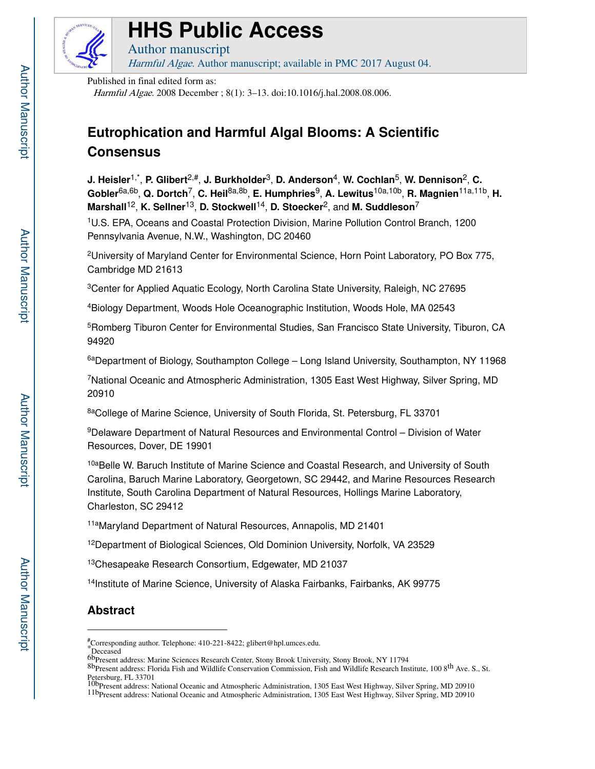

# **HHS Public Access**

Author manuscript Harmful Algae. Author manuscript; available in PMC 2017 August 04.

Published in final edited form as:

Harmful Algae. 2008 December ; 8(1): 3–13. doi:10.1016/j.hal.2008.08.006.

## **Eutrophication and Harmful Algal Blooms: A Scientific Consensus**

**J. Heisler**1,\* , **P. Glibert**2,#, **J. Burkholder**3, **D. Anderson**4, **W. Cochlan**5, **W. Dennison**2, **C. Gobler**6a,6b, **Q. Dortch**7, **C. Heil**8a,8b, **E. Humphries**9, **A. Lewitus**10a,10b, **R. Magnien**11a,11b, **H. Marshall**12, **K. Sellner**13, **D. Stockwell**14, **D. Stoecker**2, and **M. Suddleson**<sup>7</sup>

<sup>1</sup>U.S. EPA, Oceans and Coastal Protection Division, Marine Pollution Control Branch, 1200 Pennsylvania Avenue, N.W., Washington, DC 20460

<sup>2</sup>University of Maryland Center for Environmental Science, Horn Point Laboratory, PO Box 775, Cambridge MD 21613

<sup>3</sup> Center for Applied Aquatic Ecology, North Carolina State University, Raleigh, NC 27695

<sup>4</sup>Biology Department, Woods Hole Oceanographic Institution, Woods Hole, MA 02543

<sup>5</sup>Romberg Tiburon Center for Environmental Studies, San Francisco State University, Tiburon, CA 94920

6aDepartment of Biology, Southampton College - Long Island University, Southampton, NY 11968

<sup>7</sup>National Oceanic and Atmospheric Administration, 1305 East West Highway, Silver Spring, MD 20910

8aCollege of Marine Science, University of South Florida, St. Petersburg, FL 33701

<sup>9</sup>Delaware Department of Natural Resources and Environmental Control – Division of Water Resources, Dover, DE 19901

10aBelle W. Baruch Institute of Marine Science and Coastal Research, and University of South Carolina, Baruch Marine Laboratory, Georgetown, SC 29442, and Marine Resources Research Institute, South Carolina Department of Natural Resources, Hollings Marine Laboratory, Charleston, SC 29412

11aMaryland Department of Natural Resources, Annapolis, MD 21401

<sup>12</sup>Department of Biological Sciences, Old Dominion University, Norfolk, VA 23529

<sup>13</sup>Chesapeake Research Consortium, Edgewater, MD 21037

<sup>14</sup>Institute of Marine Science, University of Alaska Fairbanks, Fairbanks, AK 99775

## **Abstract**

<sup>#</sup>Corresponding author. Telephone: 410-221-8422; glibert@hpl.umces.edu.

<sup>\*</sup>Deceased

<sup>6</sup>bPresent address: Marine Sciences Research Center, Stony Brook University, Stony Brook, NY 11794

<sup>8</sup>bPresent address: Florida Fish and Wildlife Conservation Commission, Fish and Wildlife Research Institute, 100 8<sup>th</sup> Ave. S., St. Petersburg, FL 33701 10bPresent address: National Oceanic and Atmospheric Administration, 1305 East West Highway, Silver Spring, MD 20910

<sup>11</sup>bPresent address: National Oceanic and Atmospheric Administration, 1305 East West Highway, Silver Spring, MD 20910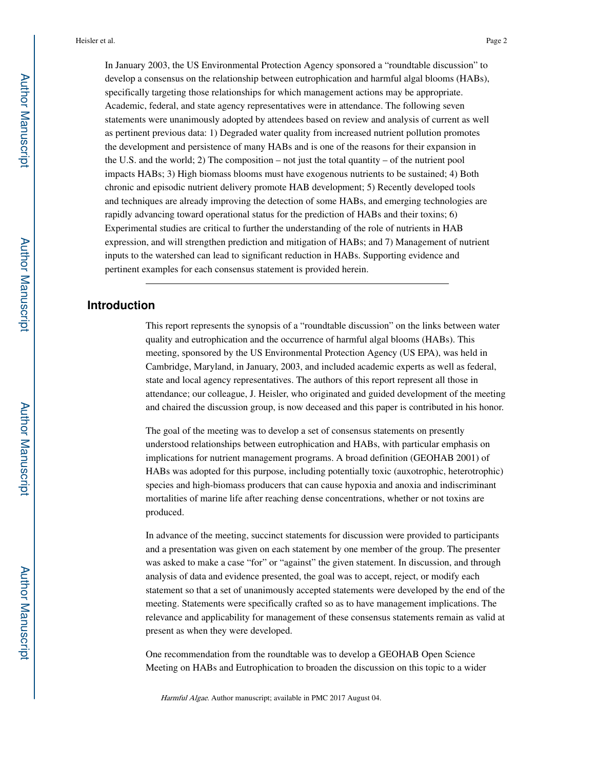In January 2003, the US Environmental Protection Agency sponsored a "roundtable discussion" to develop a consensus on the relationship between eutrophication and harmful algal blooms (HABs), specifically targeting those relationships for which management actions may be appropriate. Academic, federal, and state agency representatives were in attendance. The following seven statements were unanimously adopted by attendees based on review and analysis of current as well as pertinent previous data: 1) Degraded water quality from increased nutrient pollution promotes the development and persistence of many HABs and is one of the reasons for their expansion in the U.S. and the world; 2) The composition – not just the total quantity – of the nutrient pool impacts HABs; 3) High biomass blooms must have exogenous nutrients to be sustained; 4) Both chronic and episodic nutrient delivery promote HAB development; 5) Recently developed tools and techniques are already improving the detection of some HABs, and emerging technologies are rapidly advancing toward operational status for the prediction of HABs and their toxins; 6) Experimental studies are critical to further the understanding of the role of nutrients in HAB expression, and will strengthen prediction and mitigation of HABs; and 7) Management of nutrient

inputs to the watershed can lead to significant reduction in HABs. Supporting evidence and

pertinent examples for each consensus statement is provided herein.

## **Introduction**

This report represents the synopsis of a "roundtable discussion" on the links between water quality and eutrophication and the occurrence of harmful algal blooms (HABs). This meeting, sponsored by the US Environmental Protection Agency (US EPA), was held in Cambridge, Maryland, in January, 2003, and included academic experts as well as federal, state and local agency representatives. The authors of this report represent all those in attendance; our colleague, J. Heisler, who originated and guided development of the meeting and chaired the discussion group, is now deceased and this paper is contributed in his honor.

The goal of the meeting was to develop a set of consensus statements on presently understood relationships between eutrophication and HABs, with particular emphasis on implications for nutrient management programs. A broad definition (GEOHAB 2001) of HABs was adopted for this purpose, including potentially toxic (auxotrophic, heterotrophic) species and high-biomass producers that can cause hypoxia and anoxia and indiscriminant mortalities of marine life after reaching dense concentrations, whether or not toxins are produced.

In advance of the meeting, succinct statements for discussion were provided to participants and a presentation was given on each statement by one member of the group. The presenter was asked to make a case "for" or "against" the given statement. In discussion, and through analysis of data and evidence presented, the goal was to accept, reject, or modify each statement so that a set of unanimously accepted statements were developed by the end of the meeting. Statements were specifically crafted so as to have management implications. The relevance and applicability for management of these consensus statements remain as valid at present as when they were developed.

One recommendation from the roundtable was to develop a GEOHAB Open Science Meeting on HABs and Eutrophication to broaden the discussion on this topic to a wider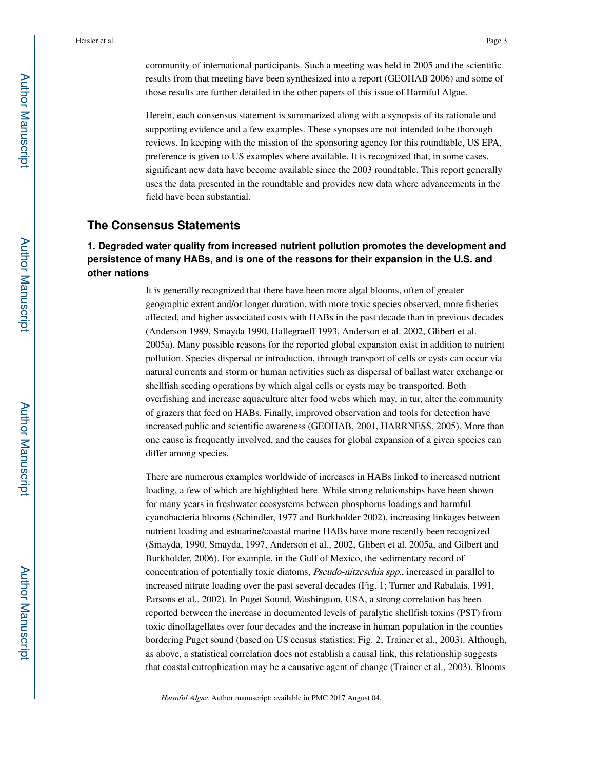community of international participants. Such a meeting was held in 2005 and the scientific results from that meeting have been synthesized into a report (GEOHAB 2006) and some of those results are further detailed in the other papers of this issue of Harmful Algae.

Herein, each consensus statement is summarized along with a synopsis of its rationale and supporting evidence and a few examples. These synopses are not intended to be thorough reviews. In keeping with the mission of the sponsoring agency for this roundtable, US EPA, preference is given to US examples where available. It is recognized that, in some cases, significant new data have become available since the 2003 roundtable. This report generally uses the data presented in the roundtable and provides new data where advancements in the field have been substantial.

## **The Consensus Statements**

## **1. Degraded water quality from increased nutrient pollution promotes the development and persistence of many HABs, and is one of the reasons for their expansion in the U.S. and other nations**

It is generally recognized that there have been more algal blooms, often of greater geographic extent and/or longer duration, with more toxic species observed, more fisheries affected, and higher associated costs with HABs in the past decade than in previous decades (Anderson 1989, Smayda 1990, Hallegraeff 1993, Anderson et al. 2002, Glibert et al. 2005a). Many possible reasons for the reported global expansion exist in addition to nutrient pollution. Species dispersal or introduction, through transport of cells or cysts can occur via natural currents and storm or human activities such as dispersal of ballast water exchange or shellfish seeding operations by which algal cells or cysts may be transported. Both overfishing and increase aquaculture alter food webs which may, in tur, alter the community of grazers that feed on HABs. Finally, improved observation and tools for detection have increased public and scientific awareness (GEOHAB, 2001, HARRNESS, 2005). More than one cause is frequently involved, and the causes for global expansion of a given species can differ among species.

There are numerous examples worldwide of increases in HABs linked to increased nutrient loading, a few of which are highlighted here. While strong relationships have been shown for many years in freshwater ecosystems between phosphorus loadings and harmful cyanobacteria blooms (Schindler, 1977 and Burkholder 2002), increasing linkages between nutrient loading and estuarine/coastal marine HABs have more recently been recognized (Smayda, 1990, Smayda, 1997, Anderson et al., 2002, Glibert et al. 2005a, and Gilbert and Burkholder, 2006). For example, in the Gulf of Mexico, the sedimentary record of concentration of potentially toxic diatoms, Pseudo-nitzcschia spp., increased in parallel to increased nitrate loading over the past several decades (Fig. 1; Turner and Rabalais, 1991, Parsons et al., 2002). In Puget Sound, Washington, USA, a strong correlation has been reported between the increase in documented levels of paralytic shellfish toxins (PST) from toxic dinoflagellates over four decades and the increase in human population in the counties bordering Puget sound (based on US census statistics; Fig. 2; Trainer et al., 2003). Although, as above, a statistical correlation does not establish a causal link, this relationship suggests that coastal eutrophication may be a causative agent of change (Trainer et al., 2003). Blooms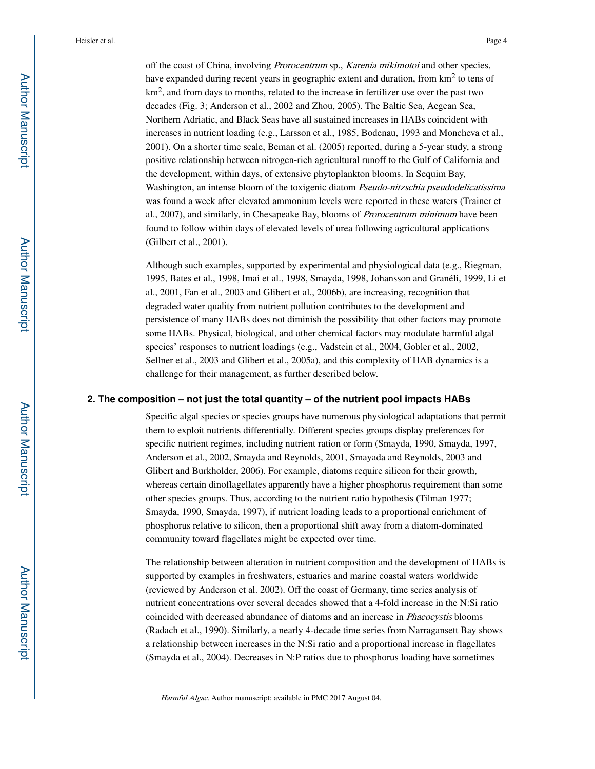off the coast of China, involving Prorocentrum sp., Karenia mikimotoi and other species, have expanded during recent years in geographic extent and duration, from  $km^2$  to tens of km<sup>2</sup>, and from days to months, related to the increase in fertilizer use over the past two decades (Fig. 3; Anderson et al., 2002 and Zhou, 2005). The Baltic Sea, Aegean Sea, Northern Adriatic, and Black Seas have all sustained increases in HABs coincident with increases in nutrient loading (e.g., Larsson et al., 1985, Bodenau, 1993 and Moncheva et al., 2001). On a shorter time scale, Beman et al. (2005) reported, during a 5-year study, a strong positive relationship between nitrogen-rich agricultural runoff to the Gulf of California and the development, within days, of extensive phytoplankton blooms. In Sequim Bay, Washington, an intense bloom of the toxigenic diatom Pseudo-nitzschia pseudodelicatissima was found a week after elevated ammonium levels were reported in these waters (Trainer et al., 2007), and similarly, in Chesapeake Bay, blooms of Prorocentrum minimum have been found to follow within days of elevated levels of urea following agricultural applications (Gilbert et al., 2001).

Although such examples, supported by experimental and physiological data (e.g., Riegman, 1995, Bates et al., 1998, Imai et al., 1998, Smayda, 1998, Johansson and Granéli, 1999, Li et al., 2001, Fan et al., 2003 and Glibert et al., 2006b), are increasing, recognition that degraded water quality from nutrient pollution contributes to the development and persistence of many HABs does not diminish the possibility that other factors may promote some HABs. Physical, biological, and other chemical factors may modulate harmful algal species' responses to nutrient loadings (e.g., Vadstein et al., 2004, Gobler et al., 2002, Sellner et al., 2003 and Glibert et al., 2005a), and this complexity of HAB dynamics is a challenge for their management, as further described below.

#### **2. The composition – not just the total quantity – of the nutrient pool impacts HABs**

Specific algal species or species groups have numerous physiological adaptations that permit them to exploit nutrients differentially. Different species groups display preferences for specific nutrient regimes, including nutrient ration or form (Smayda, 1990, Smayda, 1997, Anderson et al., 2002, Smayda and Reynolds, 2001, Smayada and Reynolds, 2003 and Glibert and Burkholder, 2006). For example, diatoms require silicon for their growth, whereas certain dinoflagellates apparently have a higher phosphorus requirement than some other species groups. Thus, according to the nutrient ratio hypothesis (Tilman 1977; Smayda, 1990, Smayda, 1997), if nutrient loading leads to a proportional enrichment of phosphorus relative to silicon, then a proportional shift away from a diatom-dominated community toward flagellates might be expected over time.

The relationship between alteration in nutrient composition and the development of HABs is supported by examples in freshwaters, estuaries and marine coastal waters worldwide (reviewed by Anderson et al. 2002). Off the coast of Germany, time series analysis of nutrient concentrations over several decades showed that a 4-fold increase in the N:Si ratio coincided with decreased abundance of diatoms and an increase in *Phaeocystis* blooms (Radach et al., 1990). Similarly, a nearly 4-decade time series from Narragansett Bay shows a relationship between increases in the N:Si ratio and a proportional increase in flagellates (Smayda et al., 2004). Decreases in N:P ratios due to phosphorus loading have sometimes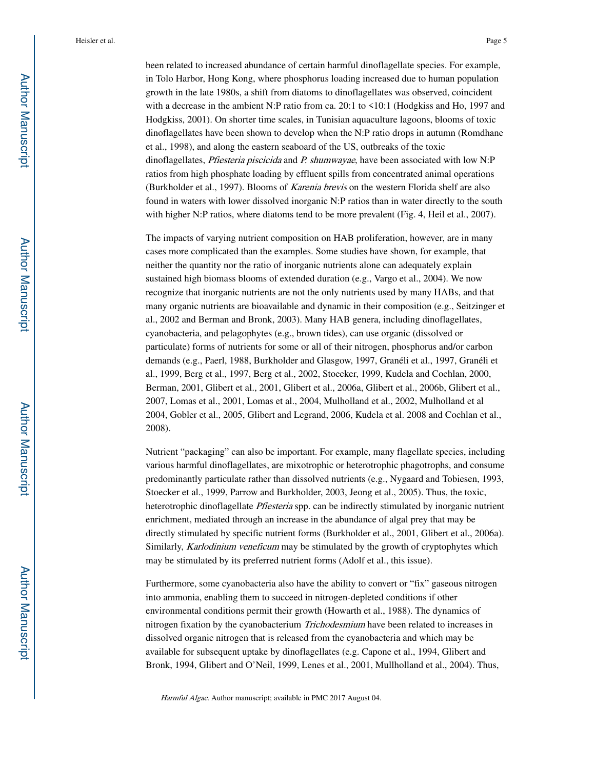been related to increased abundance of certain harmful dinoflagellate species. For example, in Tolo Harbor, Hong Kong, where phosphorus loading increased due to human population growth in the late 1980s, a shift from diatoms to dinoflagellates was observed, coincident with a decrease in the ambient N:P ratio from ca. 20:1 to <10:1 (Hodgkiss and Ho, 1997 and Hodgkiss, 2001). On shorter time scales, in Tunisian aquaculture lagoons, blooms of toxic dinoflagellates have been shown to develop when the N:P ratio drops in autumn (Romdhane et al., 1998), and along the eastern seaboard of the US, outbreaks of the toxic dinoflagellates, Pfiesteria piscicida and P. shumwayae, have been associated with low N:P ratios from high phosphate loading by effluent spills from concentrated animal operations (Burkholder et al., 1997). Blooms of Karenia brevis on the western Florida shelf are also found in waters with lower dissolved inorganic N:P ratios than in water directly to the south with higher N:P ratios, where diatoms tend to be more prevalent (Fig. 4, Heil et al., 2007).

The impacts of varying nutrient composition on HAB proliferation, however, are in many cases more complicated than the examples. Some studies have shown, for example, that neither the quantity nor the ratio of inorganic nutrients alone can adequately explain sustained high biomass blooms of extended duration (e.g., Vargo et al., 2004). We now recognize that inorganic nutrients are not the only nutrients used by many HABs, and that many organic nutrients are bioavailable and dynamic in their composition (e.g., Seitzinger et al., 2002 and Berman and Bronk, 2003). Many HAB genera, including dinoflagellates, cyanobacteria, and pelagophytes (e.g., brown tides), can use organic (dissolved or particulate) forms of nutrients for some or all of their nitrogen, phosphorus and/or carbon demands (e.g., Paerl, 1988, Burkholder and Glasgow, 1997, Granéli et al., 1997, Granéli et al., 1999, Berg et al., 1997, Berg et al., 2002, Stoecker, 1999, Kudela and Cochlan, 2000, Berman, 2001, Glibert et al., 2001, Glibert et al., 2006a, Glibert et al., 2006b, Glibert et al., 2007, Lomas et al., 2001, Lomas et al., 2004, Mulholland et al., 2002, Mulholland et al 2004, Gobler et al., 2005, Glibert and Legrand, 2006, Kudela et al. 2008 and Cochlan et al., 2008).

Nutrient "packaging" can also be important. For example, many flagellate species, including various harmful dinoflagellates, are mixotrophic or heterotrophic phagotrophs, and consume predominantly particulate rather than dissolved nutrients (e.g., Nygaard and Tobiesen, 1993, Stoecker et al., 1999, Parrow and Burkholder, 2003, Jeong et al., 2005). Thus, the toxic, heterotrophic dinoflagellate Pfiesteria spp. can be indirectly stimulated by inorganic nutrient enrichment, mediated through an increase in the abundance of algal prey that may be directly stimulated by specific nutrient forms (Burkholder et al., 2001, Glibert et al., 2006a). Similarly, Karlodinium veneficum may be stimulated by the growth of cryptophytes which may be stimulated by its preferred nutrient forms (Adolf et al., this issue).

Furthermore, some cyanobacteria also have the ability to convert or "fix" gaseous nitrogen into ammonia, enabling them to succeed in nitrogen-depleted conditions if other environmental conditions permit their growth (Howarth et al., 1988). The dynamics of nitrogen fixation by the cyanobacterium Trichodesmium have been related to increases in dissolved organic nitrogen that is released from the cyanobacteria and which may be available for subsequent uptake by dinoflagellates (e.g. Capone et al., 1994, Glibert and Bronk, 1994, Glibert and O'Neil, 1999, Lenes et al., 2001, Mullholland et al., 2004). Thus,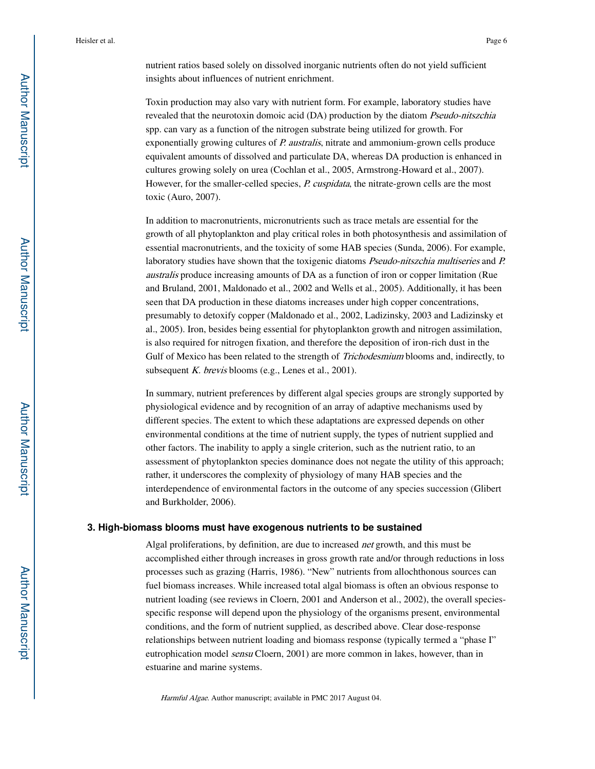Toxin production may also vary with nutrient form. For example, laboratory studies have revealed that the neurotoxin domoic acid (DA) production by the diatom *Pseudo-nitszchia* spp. can vary as a function of the nitrogen substrate being utilized for growth. For exponentially growing cultures of P. australis, nitrate and ammonium-grown cells produce equivalent amounts of dissolved and particulate DA, whereas DA production is enhanced in cultures growing solely on urea (Cochlan et al., 2005, Armstrong-Howard et al., 2007). However, for the smaller-celled species, P. cuspidata, the nitrate-grown cells are the most toxic (Auro, 2007).

In addition to macronutrients, micronutrients such as trace metals are essential for the growth of all phytoplankton and play critical roles in both photosynthesis and assimilation of essential macronutrients, and the toxicity of some HAB species (Sunda, 2006). For example, laboratory studies have shown that the toxigenic diatoms *Pseudo-nitszchia multiseries* and *P*. australis produce increasing amounts of DA as a function of iron or copper limitation (Rue and Bruland, 2001, Maldonado et al., 2002 and Wells et al., 2005). Additionally, it has been seen that DA production in these diatoms increases under high copper concentrations, presumably to detoxify copper (Maldonado et al., 2002, Ladizinsky, 2003 and Ladizinsky et al., 2005). Iron, besides being essential for phytoplankton growth and nitrogen assimilation, is also required for nitrogen fixation, and therefore the deposition of iron-rich dust in the Gulf of Mexico has been related to the strength of Trichodesmium blooms and, indirectly, to subsequent  $K$ . brevis blooms (e.g., Lenes et al., 2001).

In summary, nutrient preferences by different algal species groups are strongly supported by physiological evidence and by recognition of an array of adaptive mechanisms used by different species. The extent to which these adaptations are expressed depends on other environmental conditions at the time of nutrient supply, the types of nutrient supplied and other factors. The inability to apply a single criterion, such as the nutrient ratio, to an assessment of phytoplankton species dominance does not negate the utility of this approach; rather, it underscores the complexity of physiology of many HAB species and the interdependence of environmental factors in the outcome of any species succession (Glibert and Burkholder, 2006).

#### **3. High-biomass blooms must have exogenous nutrients to be sustained**

Algal proliferations, by definition, are due to increased *net* growth, and this must be accomplished either through increases in gross growth rate and/or through reductions in loss processes such as grazing (Harris, 1986). "New" nutrients from allochthonous sources can fuel biomass increases. While increased total algal biomass is often an obvious response to nutrient loading (see reviews in Cloern, 2001 and Anderson et al., 2002), the overall speciesspecific response will depend upon the physiology of the organisms present, environmental conditions, and the form of nutrient supplied, as described above. Clear dose-response relationships between nutrient loading and biomass response (typically termed a "phase I" eutrophication model sensu Cloern, 2001) are more common in lakes, however, than in estuarine and marine systems.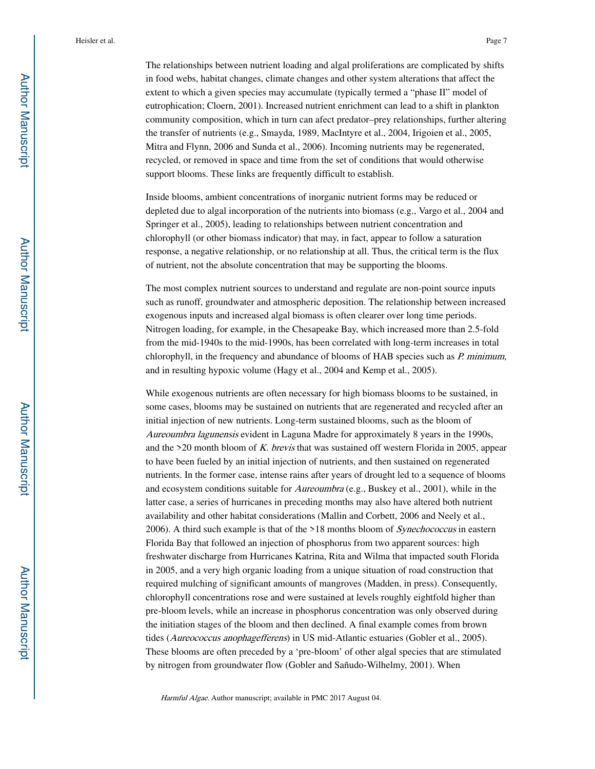The relationships between nutrient loading and algal proliferations are complicated by shifts in food webs, habitat changes, climate changes and other system alterations that affect the extent to which a given species may accumulate (typically termed a "phase II" model of eutrophication; Cloern, 2001). Increased nutrient enrichment can lead to a shift in plankton community composition, which in turn can afect predator–prey relationships, further altering the transfer of nutrients (e.g., Smayda, 1989, MacIntyre et al., 2004, Irigoien et al., 2005, Mitra and Flynn, 2006 and Sunda et al., 2006). Incoming nutrients may be regenerated, recycled, or removed in space and time from the set of conditions that would otherwise support blooms. These links are frequently difficult to establish.

Inside blooms, ambient concentrations of inorganic nutrient forms may be reduced or depleted due to algal incorporation of the nutrients into biomass (e.g., Vargo et al., 2004 and Springer et al., 2005), leading to relationships between nutrient concentration and chlorophyll (or other biomass indicator) that may, in fact, appear to follow a saturation response, a negative relationship, or no relationship at all. Thus, the critical term is the flux of nutrient, not the absolute concentration that may be supporting the blooms.

The most complex nutrient sources to understand and regulate are non-point source inputs such as runoff, groundwater and atmospheric deposition. The relationship between increased exogenous inputs and increased algal biomass is often clearer over long time periods. Nitrogen loading, for example, in the Chesapeake Bay, which increased more than 2.5-fold from the mid-1940s to the mid-1990s, has been correlated with long-term increases in total chlorophyll, in the frequency and abundance of blooms of HAB species such as P. minimum, and in resulting hypoxic volume (Hagy et al., 2004 and Kemp et al., 2005).

While exogenous nutrients are often necessary for high biomass blooms to be sustained, in some cases, blooms may be sustained on nutrients that are regenerated and recycled after an initial injection of new nutrients. Long-term sustained blooms, such as the bloom of Aureoumbra lagunensis evident in Laguna Madre for approximately 8 years in the 1990s, and the  $>20$  month bloom of K. brevis that was sustained off western Florida in 2005, appear to have been fueled by an initial injection of nutrients, and then sustained on regenerated nutrients. In the former case, intense rains after years of drought led to a sequence of blooms and ecosystem conditions suitable for Aureoumbra (e.g., Buskey et al., 2001), while in the latter case, a series of hurricanes in preceding months may also have altered both nutrient availability and other habitat considerations (Mallin and Corbett, 2006 and Neely et al., 2006). A third such example is that of the  $>18$  months bloom of *Synechococcus* in eastern Florida Bay that followed an injection of phosphorus from two apparent sources: high freshwater discharge from Hurricanes Katrina, Rita and Wilma that impacted south Florida in 2005, and a very high organic loading from a unique situation of road construction that required mulching of significant amounts of mangroves (Madden, in press). Consequently, chlorophyll concentrations rose and were sustained at levels roughly eightfold higher than pre-bloom levels, while an increase in phosphorus concentration was only observed during the initiation stages of the bloom and then declined. A final example comes from brown tides (Aureococcus anophagefferens) in US mid-Atlantic estuaries (Gobler et al., 2005). These blooms are often preceded by a 'pre-bloom' of other algal species that are stimulated by nitrogen from groundwater flow (Gobler and Sañudo-Wilhelmy, 2001). When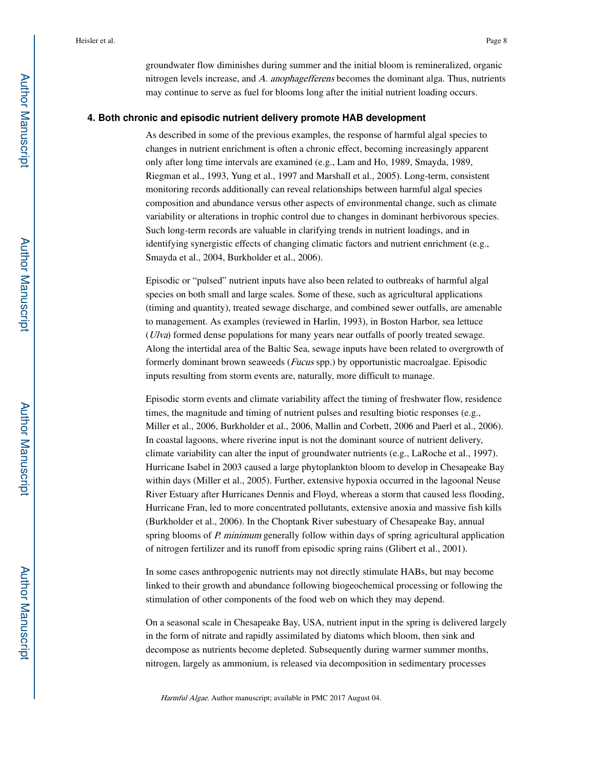groundwater flow diminishes during summer and the initial bloom is remineralized, organic nitrogen levels increase, and A. anophagefferens becomes the dominant alga. Thus, nutrients may continue to serve as fuel for blooms long after the initial nutrient loading occurs.

#### **4. Both chronic and episodic nutrient delivery promote HAB development**

As described in some of the previous examples, the response of harmful algal species to changes in nutrient enrichment is often a chronic effect, becoming increasingly apparent only after long time intervals are examined (e.g., Lam and Ho, 1989, Smayda, 1989, Riegman et al., 1993, Yung et al., 1997 and Marshall et al., 2005). Long-term, consistent monitoring records additionally can reveal relationships between harmful algal species composition and abundance versus other aspects of environmental change, such as climate variability or alterations in trophic control due to changes in dominant herbivorous species. Such long-term records are valuable in clarifying trends in nutrient loadings, and in identifying synergistic effects of changing climatic factors and nutrient enrichment (e.g., Smayda et al., 2004, Burkholder et al., 2006).

Episodic or "pulsed" nutrient inputs have also been related to outbreaks of harmful algal species on both small and large scales. Some of these, such as agricultural applications (timing and quantity), treated sewage discharge, and combined sewer outfalls, are amenable to management. As examples (reviewed in Harlin, 1993), in Boston Harbor, sea lettuce (Ulva) formed dense populations for many years near outfalls of poorly treated sewage. Along the intertidal area of the Baltic Sea, sewage inputs have been related to overgrowth of formerly dominant brown seaweeds (Fucus spp.) by opportunistic macroalgae. Episodic inputs resulting from storm events are, naturally, more difficult to manage.

Episodic storm events and climate variability affect the timing of freshwater flow, residence times, the magnitude and timing of nutrient pulses and resulting biotic responses (e.g., Miller et al., 2006, Burkholder et al., 2006, Mallin and Corbett, 2006 and Paerl et al., 2006). In coastal lagoons, where riverine input is not the dominant source of nutrient delivery, climate variability can alter the input of groundwater nutrients (e.g., LaRoche et al., 1997). Hurricane Isabel in 2003 caused a large phytoplankton bloom to develop in Chesapeake Bay within days (Miller et al., 2005). Further, extensive hypoxia occurred in the lagoonal Neuse River Estuary after Hurricanes Dennis and Floyd, whereas a storm that caused less flooding, Hurricane Fran, led to more concentrated pollutants, extensive anoxia and massive fish kills (Burkholder et al., 2006). In the Choptank River subestuary of Chesapeake Bay, annual spring blooms of P. minimum generally follow within days of spring agricultural application of nitrogen fertilizer and its runoff from episodic spring rains (Glibert et al., 2001).

In some cases anthropogenic nutrients may not directly stimulate HABs, but may become linked to their growth and abundance following biogeochemical processing or following the stimulation of other components of the food web on which they may depend.

On a seasonal scale in Chesapeake Bay, USA, nutrient input in the spring is delivered largely in the form of nitrate and rapidly assimilated by diatoms which bloom, then sink and decompose as nutrients become depleted. Subsequently during warmer summer months, nitrogen, largely as ammonium, is released via decomposition in sedimentary processes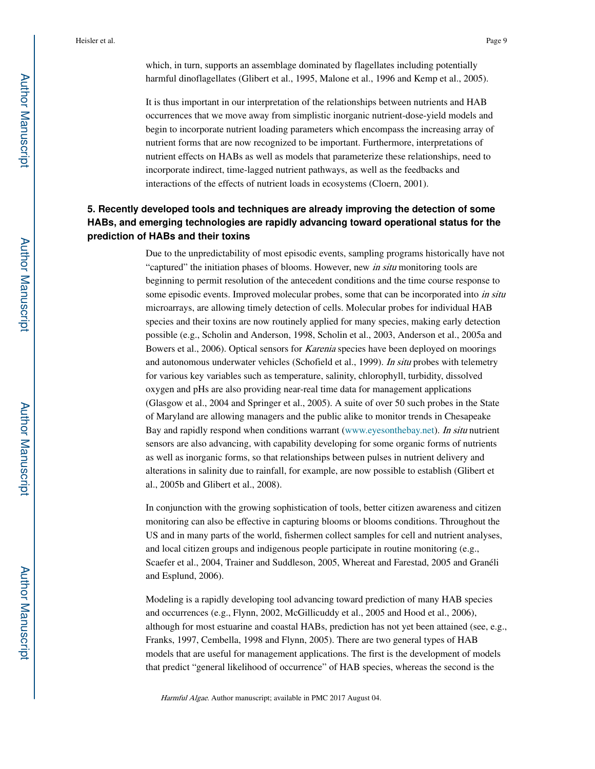which, in turn, supports an assemblage dominated by flagellates including potentially harmful dinoflagellates (Glibert et al., 1995, Malone et al., 1996 and Kemp et al., 2005).

It is thus important in our interpretation of the relationships between nutrients and HAB occurrences that we move away from simplistic inorganic nutrient-dose-yield models and begin to incorporate nutrient loading parameters which encompass the increasing array of nutrient forms that are now recognized to be important. Furthermore, interpretations of nutrient effects on HABs as well as models that parameterize these relationships, need to incorporate indirect, time-lagged nutrient pathways, as well as the feedbacks and interactions of the effects of nutrient loads in ecosystems (Cloern, 2001).

## **5. Recently developed tools and techniques are already improving the detection of some HABs, and emerging technologies are rapidly advancing toward operational status for the prediction of HABs and their toxins**

Due to the unpredictability of most episodic events, sampling programs historically have not "captured" the initiation phases of blooms. However, new *in situ* monitoring tools are beginning to permit resolution of the antecedent conditions and the time course response to some episodic events. Improved molecular probes, some that can be incorporated into in situ microarrays, are allowing timely detection of cells. Molecular probes for individual HAB species and their toxins are now routinely applied for many species, making early detection possible (e.g., Scholin and Anderson, 1998, Scholin et al., 2003, Anderson et al., 2005a and Bowers et al., 2006). Optical sensors for Karenia species have been deployed on moorings and autonomous underwater vehicles (Schofield et al., 1999). In situ probes with telemetry for various key variables such as temperature, salinity, chlorophyll, turbidity, dissolved oxygen and pHs are also providing near-real time data for management applications (Glasgow et al., 2004 and Springer et al., 2005). A suite of over 50 such probes in the State of Maryland are allowing managers and the public alike to monitor trends in Chesapeake Bay and rapidly respond when conditions warrant (www.eyesonthebay.net). In situ nutrient sensors are also advancing, with capability developing for some organic forms of nutrients as well as inorganic forms, so that relationships between pulses in nutrient delivery and alterations in salinity due to rainfall, for example, are now possible to establish (Glibert et al., 2005b and Glibert et al., 2008).

In conjunction with the growing sophistication of tools, better citizen awareness and citizen monitoring can also be effective in capturing blooms or blooms conditions. Throughout the US and in many parts of the world, fishermen collect samples for cell and nutrient analyses, and local citizen groups and indigenous people participate in routine monitoring (e.g., Scaefer et al., 2004, Trainer and Suddleson, 2005, Whereat and Farestad, 2005 and Granéli and Esplund, 2006).

Modeling is a rapidly developing tool advancing toward prediction of many HAB species and occurrences (e.g., Flynn, 2002, McGillicuddy et al., 2005 and Hood et al., 2006), although for most estuarine and coastal HABs, prediction has not yet been attained (see, e.g., Franks, 1997, Cembella, 1998 and Flynn, 2005). There are two general types of HAB models that are useful for management applications. The first is the development of models that predict "general likelihood of occurrence" of HAB species, whereas the second is the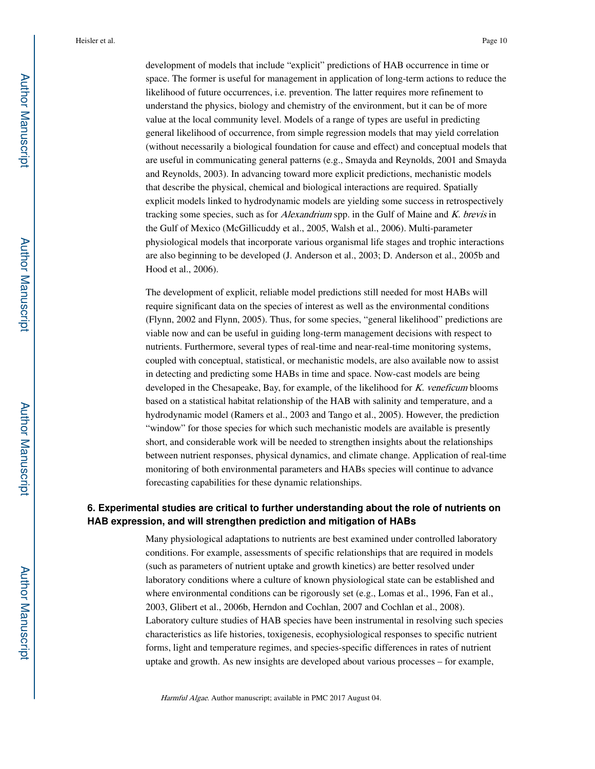development of models that include "explicit" predictions of HAB occurrence in time or space. The former is useful for management in application of long-term actions to reduce the likelihood of future occurrences, i.e. prevention. The latter requires more refinement to understand the physics, biology and chemistry of the environment, but it can be of more value at the local community level. Models of a range of types are useful in predicting general likelihood of occurrence, from simple regression models that may yield correlation (without necessarily a biological foundation for cause and effect) and conceptual models that are useful in communicating general patterns (e.g., Smayda and Reynolds, 2001 and Smayda and Reynolds, 2003). In advancing toward more explicit predictions, mechanistic models that describe the physical, chemical and biological interactions are required. Spatially explicit models linked to hydrodynamic models are yielding some success in retrospectively tracking some species, such as for *Alexandrium* spp. in the Gulf of Maine and *K. brevis* in the Gulf of Mexico (McGillicuddy et al., 2005, Walsh et al., 2006). Multi-parameter physiological models that incorporate various organismal life stages and trophic interactions are also beginning to be developed (J. Anderson et al., 2003; D. Anderson et al., 2005b and Hood et al., 2006).

The development of explicit, reliable model predictions still needed for most HABs will require significant data on the species of interest as well as the environmental conditions (Flynn, 2002 and Flynn, 2005). Thus, for some species, "general likelihood" predictions are viable now and can be useful in guiding long-term management decisions with respect to nutrients. Furthermore, several types of real-time and near-real-time monitoring systems, coupled with conceptual, statistical, or mechanistic models, are also available now to assist in detecting and predicting some HABs in time and space. Now-cast models are being developed in the Chesapeake, Bay, for example, of the likelihood for K. veneficum blooms based on a statistical habitat relationship of the HAB with salinity and temperature, and a hydrodynamic model (Ramers et al., 2003 and Tango et al., 2005). However, the prediction "window" for those species for which such mechanistic models are available is presently short, and considerable work will be needed to strengthen insights about the relationships between nutrient responses, physical dynamics, and climate change. Application of real-time monitoring of both environmental parameters and HABs species will continue to advance forecasting capabilities for these dynamic relationships.

## **6. Experimental studies are critical to further understanding about the role of nutrients on HAB expression, and will strengthen prediction and mitigation of HABs**

Many physiological adaptations to nutrients are best examined under controlled laboratory conditions. For example, assessments of specific relationships that are required in models (such as parameters of nutrient uptake and growth kinetics) are better resolved under laboratory conditions where a culture of known physiological state can be established and where environmental conditions can be rigorously set (e.g., Lomas et al., 1996, Fan et al., 2003, Glibert et al., 2006b, Herndon and Cochlan, 2007 and Cochlan et al., 2008). Laboratory culture studies of HAB species have been instrumental in resolving such species characteristics as life histories, toxigenesis, ecophysiological responses to specific nutrient forms, light and temperature regimes, and species-specific differences in rates of nutrient uptake and growth. As new insights are developed about various processes – for example,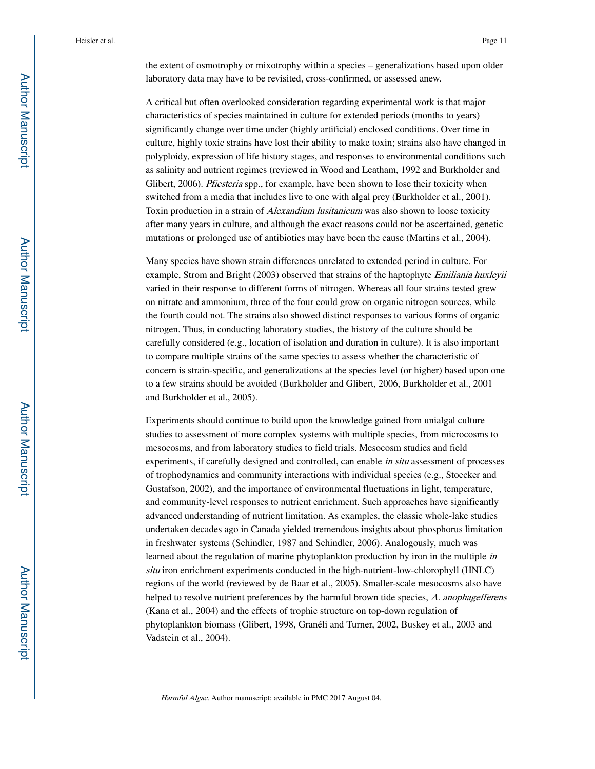the extent of osmotrophy or mixotrophy within a species – generalizations based upon older laboratory data may have to be revisited, cross-confirmed, or assessed anew.

A critical but often overlooked consideration regarding experimental work is that major characteristics of species maintained in culture for extended periods (months to years) significantly change over time under (highly artificial) enclosed conditions. Over time in culture, highly toxic strains have lost their ability to make toxin; strains also have changed in polyploidy, expression of life history stages, and responses to environmental conditions such as salinity and nutrient regimes (reviewed in Wood and Leatham, 1992 and Burkholder and Glibert, 2006). *Pfiesteria* spp., for example, have been shown to lose their toxicity when switched from a media that includes live to one with algal prey (Burkholder et al., 2001). Toxin production in a strain of Alexandium lusitanicum was also shown to loose toxicity after many years in culture, and although the exact reasons could not be ascertained, genetic mutations or prolonged use of antibiotics may have been the cause (Martins et al., 2004).

Many species have shown strain differences unrelated to extended period in culture. For example, Strom and Bright (2003) observed that strains of the haptophyte *Emiliania huxleyii* varied in their response to different forms of nitrogen. Whereas all four strains tested grew on nitrate and ammonium, three of the four could grow on organic nitrogen sources, while the fourth could not. The strains also showed distinct responses to various forms of organic nitrogen. Thus, in conducting laboratory studies, the history of the culture should be carefully considered (e.g., location of isolation and duration in culture). It is also important to compare multiple strains of the same species to assess whether the characteristic of concern is strain-specific, and generalizations at the species level (or higher) based upon one to a few strains should be avoided (Burkholder and Glibert, 2006, Burkholder et al., 2001 and Burkholder et al., 2005).

Experiments should continue to build upon the knowledge gained from unialgal culture studies to assessment of more complex systems with multiple species, from microcosms to mesocosms, and from laboratory studies to field trials. Mesocosm studies and field experiments, if carefully designed and controlled, can enable *in situ* assessment of processes of trophodynamics and community interactions with individual species (e.g., Stoecker and Gustafson, 2002), and the importance of environmental fluctuations in light, temperature, and community-level responses to nutrient enrichment. Such approaches have significantly advanced understanding of nutrient limitation. As examples, the classic whole-lake studies undertaken decades ago in Canada yielded tremendous insights about phosphorus limitation in freshwater systems (Schindler, 1987 and Schindler, 2006). Analogously, much was learned about the regulation of marine phytoplankton production by iron in the multiple in situ iron enrichment experiments conducted in the high-nutrient-low-chlorophyll (HNLC) regions of the world (reviewed by de Baar et al., 2005). Smaller-scale mesocosms also have helped to resolve nutrient preferences by the harmful brown tide species, A. anophagefferens (Kana et al., 2004) and the effects of trophic structure on top-down regulation of phytoplankton biomass (Glibert, 1998, Granéli and Turner, 2002, Buskey et al., 2003 and Vadstein et al., 2004).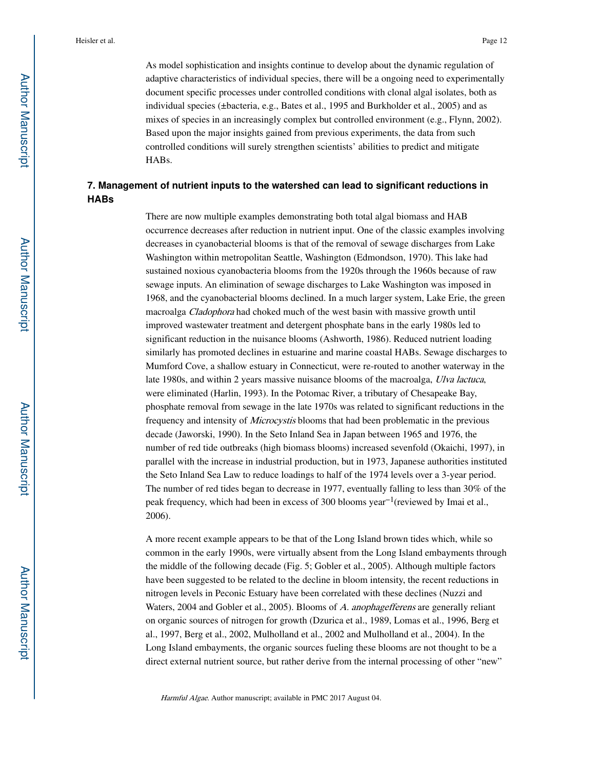As model sophistication and insights continue to develop about the dynamic regulation of adaptive characteristics of individual species, there will be a ongoing need to experimentally document specific processes under controlled conditions with clonal algal isolates, both as individual species (±bacteria, e.g., Bates et al., 1995 and Burkholder et al., 2005) and as mixes of species in an increasingly complex but controlled environment (e.g., Flynn, 2002). Based upon the major insights gained from previous experiments, the data from such controlled conditions will surely strengthen scientists' abilities to predict and mitigate HABs.

## **7. Management of nutrient inputs to the watershed can lead to significant reductions in HABs**

There are now multiple examples demonstrating both total algal biomass and HAB occurrence decreases after reduction in nutrient input. One of the classic examples involving decreases in cyanobacterial blooms is that of the removal of sewage discharges from Lake Washington within metropolitan Seattle, Washington (Edmondson, 1970). This lake had sustained noxious cyanobacteria blooms from the 1920s through the 1960s because of raw sewage inputs. An elimination of sewage discharges to Lake Washington was imposed in 1968, and the cyanobacterial blooms declined. In a much larger system, Lake Erie, the green macroalga Cladophora had choked much of the west basin with massive growth until improved wastewater treatment and detergent phosphate bans in the early 1980s led to significant reduction in the nuisance blooms (Ashworth, 1986). Reduced nutrient loading similarly has promoted declines in estuarine and marine coastal HABs. Sewage discharges to Mumford Cove, a shallow estuary in Connecticut, were re-routed to another waterway in the late 1980s, and within 2 years massive nuisance blooms of the macroalga, Ulva lactuca, were eliminated (Harlin, 1993). In the Potomac River, a tributary of Chesapeake Bay, phosphate removal from sewage in the late 1970s was related to significant reductions in the frequency and intensity of Microcystis blooms that had been problematic in the previous decade (Jaworski, 1990). In the Seto Inland Sea in Japan between 1965 and 1976, the number of red tide outbreaks (high biomass blooms) increased sevenfold (Okaichi, 1997), in parallel with the increase in industrial production, but in 1973, Japanese authorities instituted the Seto Inland Sea Law to reduce loadings to half of the 1974 levels over a 3-year period. The number of red tides began to decrease in 1977, eventually falling to less than 30% of the peak frequency, which had been in excess of 300 blooms year−1(reviewed by Imai et al., 2006).

A more recent example appears to be that of the Long Island brown tides which, while so common in the early 1990s, were virtually absent from the Long Island embayments through the middle of the following decade (Fig. 5; Gobler et al., 2005). Although multiple factors have been suggested to be related to the decline in bloom intensity, the recent reductions in nitrogen levels in Peconic Estuary have been correlated with these declines (Nuzzi and Waters, 2004 and Gobler et al., 2005). Blooms of A. anophagefferens are generally reliant on organic sources of nitrogen for growth (Dzurica et al., 1989, Lomas et al., 1996, Berg et al., 1997, Berg et al., 2002, Mulholland et al., 2002 and Mulholland et al., 2004). In the Long Island embayments, the organic sources fueling these blooms are not thought to be a direct external nutrient source, but rather derive from the internal processing of other "new"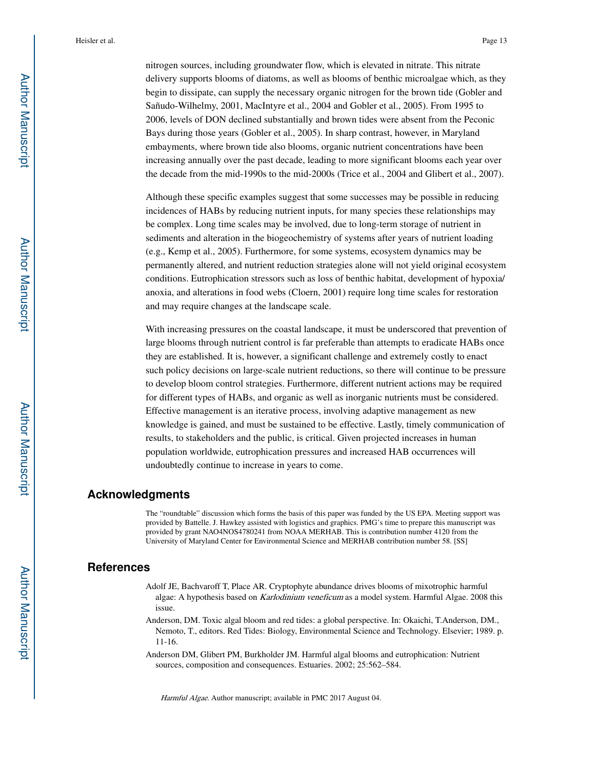nitrogen sources, including groundwater flow, which is elevated in nitrate. This nitrate delivery supports blooms of diatoms, as well as blooms of benthic microalgae which, as they begin to dissipate, can supply the necessary organic nitrogen for the brown tide (Gobler and Sañudo-Wilhelmy, 2001, MacIntyre et al., 2004 and Gobler et al., 2005). From 1995 to 2006, levels of DON declined substantially and brown tides were absent from the Peconic Bays during those years (Gobler et al., 2005). In sharp contrast, however, in Maryland embayments, where brown tide also blooms, organic nutrient concentrations have been increasing annually over the past decade, leading to more significant blooms each year over the decade from the mid-1990s to the mid-2000s (Trice et al., 2004 and Glibert et al., 2007).

Although these specific examples suggest that some successes may be possible in reducing incidences of HABs by reducing nutrient inputs, for many species these relationships may be complex. Long time scales may be involved, due to long-term storage of nutrient in sediments and alteration in the biogeochemistry of systems after years of nutrient loading (e.g., Kemp et al., 2005). Furthermore, for some systems, ecosystem dynamics may be permanently altered, and nutrient reduction strategies alone will not yield original ecosystem conditions. Eutrophication stressors such as loss of benthic habitat, development of hypoxia/ anoxia, and alterations in food webs (Cloern, 2001) require long time scales for restoration and may require changes at the landscape scale.

With increasing pressures on the coastal landscape, it must be underscored that prevention of large blooms through nutrient control is far preferable than attempts to eradicate HABs once they are established. It is, however, a significant challenge and extremely costly to enact such policy decisions on large-scale nutrient reductions, so there will continue to be pressure to develop bloom control strategies. Furthermore, different nutrient actions may be required for different types of HABs, and organic as well as inorganic nutrients must be considered. Effective management is an iterative process, involving adaptive management as new knowledge is gained, and must be sustained to be effective. Lastly, timely communication of results, to stakeholders and the public, is critical. Given projected increases in human population worldwide, eutrophication pressures and increased HAB occurrences will undoubtedly continue to increase in years to come.

### **Acknowledgments**

The "roundtable" discussion which forms the basis of this paper was funded by the US EPA. Meeting support was provided by Battelle. J. Hawkey assisted with logistics and graphics. PMG's time to prepare this manuscript was provided by grant NAO4NOS4780241 from NOAA MERHAB. This is contribution number 4120 from the University of Maryland Center for Environmental Science and MERHAB contribution number 58. [SS]

## **References**

- Adolf JE, Bachvaroff T, Place AR. Cryptophyte abundance drives blooms of mixotrophic harmful algae: A hypothesis based on Karlodinium veneficum as a model system. Harmful Algae. 2008 this issue.
- Anderson, DM. Toxic algal bloom and red tides: a global perspective. In: Okaichi, T.Anderson, DM., Nemoto, T., editors. Red Tides: Biology, Environmental Science and Technology. Elsevier; 1989. p. 11-16.
- Anderson DM, Glibert PM, Burkholder JM. Harmful algal blooms and eutrophication: Nutrient sources, composition and consequences. Estuaries. 2002; 25:562–584.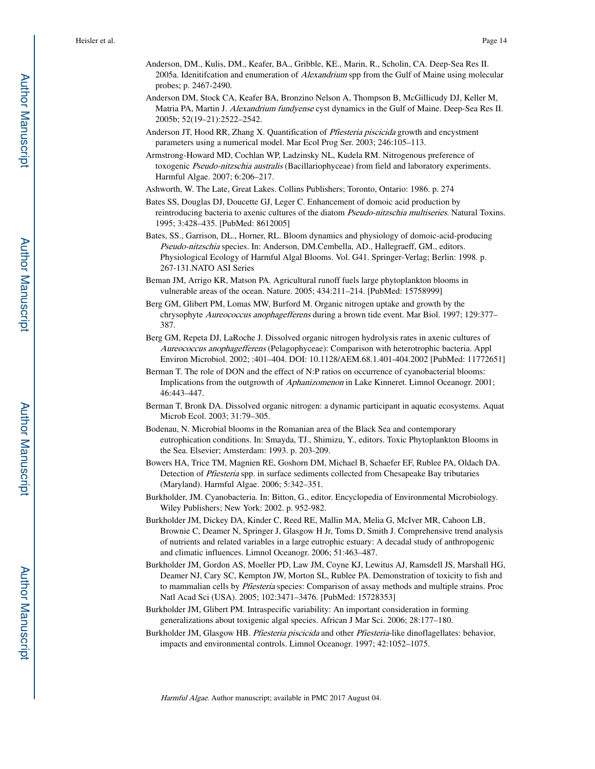- Anderson, DM., Kulis, DM., Keafer, BA., Gribble, KE., Marin, R., Scholin, CA. Deep-Sea Res II. 2005a. Idenitifcation and enumeration of Alexandrium spp from the Gulf of Maine using molecular probes; p. 2467-2490.
- Anderson DM, Stock CA, Keafer BA, Bronzino Nelson A, Thompson B, McGillicudy DJ, Keller M, Matria PA, Martin J. Alexandrium fundyense cyst dynamics in the Gulf of Maine. Deep-Sea Res II. 2005b; 52(19–21):2522–2542.
- Anderson JT, Hood RR, Zhang X. Quantification of Pfiesteria piscicida growth and encystment parameters using a numerical model. Mar Ecol Prog Ser. 2003; 246:105–113.
- Armstrong-Howard MD, Cochlan WP, Ladzinsky NL, Kudela RM. Nitrogenous preference of toxogenic Pseudo-nitzschia australis (Bacillariophyceae) from field and laboratory experiments. Harmful Algae. 2007; 6:206–217.
- Ashworth, W. The Late, Great Lakes. Collins Publishers; Toronto, Ontario: 1986. p. 274
- Bates SS, Douglas DJ, Doucette GJ, Leger C. Enhancement of domoic acid production by reintroducing bacteria to axenic cultures of the diatom *Pseudo-nitzschia multiseries*. Natural Toxins. 1995; 3:428–435. [PubMed: 8612005]
- Bates, SS., Garrison, DL., Horner, RL. Bloom dynamics and physiology of domoic-acid-producing Pseudo-nitzschia species. In: Anderson, DM.Cembella, AD., Hallegraeff, GM., editors. Physiological Ecology of Harmful Algal Blooms. Vol. G41. Springer-Verlag; Berlin: 1998. p. 267-131.NATO ASI Series
- Beman JM, Arrigo KR, Matson PA. Agricultural runoff fuels large phytoplankton blooms in vulnerable areas of the ocean. Nature. 2005; 434:211–214. [PubMed: 15758999]
- Berg GM, Glibert PM, Lomas MW, Burford M. Organic nitrogen uptake and growth by the chrysophyte Aureococcus anophagefferens during a brown tide event. Mar Biol. 1997; 129:377-387.
- Berg GM, Repeta DJ, LaRoche J. Dissolved organic nitrogen hydrolysis rates in axenic cultures of Aureococcus anophagefferens (Pelagophyceae): Comparison with heterotrophic bacteria. Appl Environ Microbiol. 2002; :401–404. DOI: 10.1128/AEM.68.1.401-404.2002 [PubMed: 11772651]
- Berman T. The role of DON and the effect of N:P ratios on occurrence of cyanobacterial blooms: Implications from the outgrowth of Aphanizomenon in Lake Kinneret. Limnol Oceanogr. 2001; 46:443–447.
- Berman T, Bronk DA. Dissolved organic nitrogen: a dynamic participant in aquatic ecosystems. Aquat Microb Ecol. 2003; 31:79–305.
- Bodenau, N. Microbial blooms in the Romanian area of the Black Sea and contemporary eutrophication conditions. In: Smayda, TJ., Shimizu, Y., editors. Toxic Phytoplankton Blooms in the Sea. Elsevier; Amsterdam: 1993. p. 203-209.
- Bowers HA, Trice TM, Magnien RE, Goshorn DM, Michael B, Schaefer EF, Rublee PA, Oldach DA. Detection of Pfiesteria spp. in surface sediments collected from Chesapeake Bay tributaries (Maryland). Harmful Algae. 2006; 5:342–351.
- Burkholder, JM. Cyanobacteria. In: Bitton, G., editor. Encyclopedia of Environmental Microbiology. Wiley Publishers; New York: 2002. p. 952-982.
- Burkholder JM, Dickey DA, Kinder C, Reed RE, Mallin MA, Melia G, McIver MR, Cahoon LB, Brownie C, Deamer N, Springer J, Glasgow H Jr, Toms D, Smith J. Comprehensive trend analysis of nutrients and related variables in a large eutrophic estuary: A decadal study of anthropogenic and climatic influences. Limnol Oceanogr. 2006; 51:463–487.
- Burkholder JM, Gordon AS, Moeller PD, Law JM, Coyne KJ, Lewitus AJ, Ramsdell JS, Marshall HG, Deamer NJ, Cary SC, Kempton JW, Morton SL, Rublee PA. Demonstration of toxicity to fish and to mammalian cells by Pfiesteria species: Comparison of assay methods and multiple strains. Proc Natl Acad Sci (USA). 2005; 102:3471–3476. [PubMed: 15728353]
- Burkholder JM, Glibert PM. Intraspecific variability: An important consideration in forming generalizations about toxigenic algal species. African J Mar Sci. 2006; 28:177–180.
- Burkholder JM, Glasgow HB. Pfiesteria piscicida and other Pfiesteria-like dinoflagellates: behavior, impacts and environmental controls. Limnol Oceanogr. 1997; 42:1052–1075.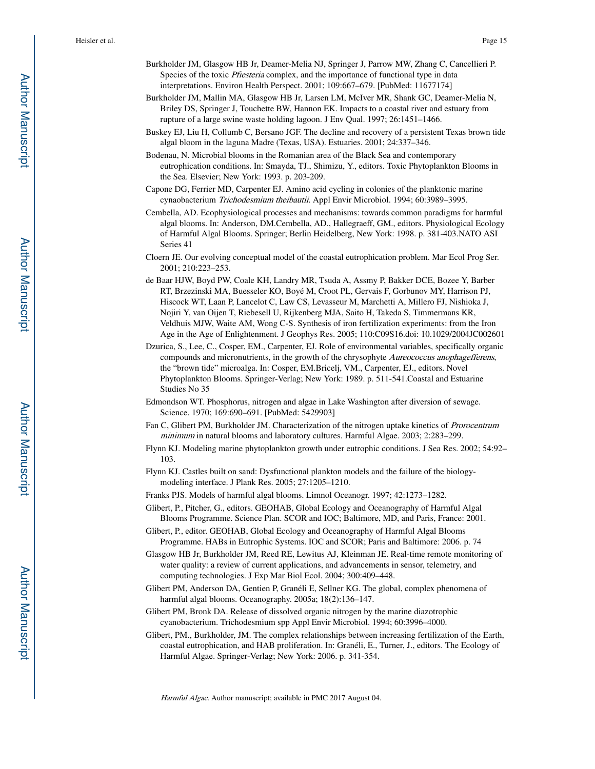- Burkholder JM, Glasgow HB Jr, Deamer-Melia NJ, Springer J, Parrow MW, Zhang C, Cancellieri P. Species of the toxic Pfiesteria complex, and the importance of functional type in data interpretations. Environ Health Perspect. 2001; 109:667–679. [PubMed: 11677174]
- Burkholder JM, Mallin MA, Glasgow HB Jr, Larsen LM, McIver MR, Shank GC, Deamer-Melia N, Briley DS, Springer J, Touchette BW, Hannon EK. Impacts to a coastal river and estuary from rupture of a large swine waste holding lagoon. J Env Qual. 1997; 26:1451–1466.
- Buskey EJ, Liu H, Collumb C, Bersano JGF. The decline and recovery of a persistent Texas brown tide algal bloom in the laguna Madre (Texas, USA). Estuaries. 2001; 24:337–346.
- Bodenau, N. Microbial blooms in the Romanian area of the Black Sea and contemporary eutrophication conditions. In: Smayda, TJ., Shimizu, Y., editors. Toxic Phytoplankton Blooms in the Sea. Elsevier; New York: 1993. p. 203-209.
- Capone DG, Ferrier MD, Carpenter EJ. Amino acid cycling in colonies of the planktonic marine cynaobacterium Trichodesmium theibautii. Appl Envir Microbiol. 1994; 60:3989–3995.
- Cembella, AD. Ecophysiological processes and mechanisms: towards common paradigms for harmful algal blooms. In: Anderson, DM.Cembella, AD., Hallegraeff, GM., editors. Physiological Ecology of Harmful Algal Blooms. Springer; Berlin Heidelberg, New York: 1998. p. 381-403.NATO ASI Series 41
- Cloern JE. Our evolving conceptual model of the coastal eutrophication problem. Mar Ecol Prog Ser. 2001; 210:223–253.
- de Baar HJW, Boyd PW, Coale KH, Landry MR, Tsuda A, Assmy P, Bakker DCE, Bozee Y, Barber RT, Brzezinski MA, Buesseler KO, Boyé M, Croot PL, Gervais F, Gorbunov MY, Harrison PJ, Hiscock WT, Laan P, Lancelot C, Law CS, Levasseur M, Marchetti A, Millero FJ, Nishioka J, Nojiri Y, van Oijen T, Riebesell U, Rijkenberg MJA, Saito H, Takeda S, Timmermans KR, Veldhuis MJW, Waite AM, Wong C-S. Synthesis of iron fertilization experiments: from the Iron Age in the Age of Enlightenment. J Geophys Res. 2005; 110:C09S16.doi: 10.1029/2004JC002601
- Dzurica, S., Lee, C., Cosper, EM., Carpenter, EJ. Role of environmental variables, specifically organic compounds and micronutrients, in the growth of the chrysophyte Aureococcus anophagefferens, the "brown tide" microalga. In: Cosper, EM.Bricelj, VM., Carpenter, EJ., editors. Novel Phytoplankton Blooms. Springer-Verlag; New York: 1989. p. 511-541.Coastal and Estuarine Studies No 35
- Edmondson WT. Phosphorus, nitrogen and algae in Lake Washington after diversion of sewage. Science. 1970; 169:690–691. [PubMed: 5429903]
- Fan C, Glibert PM, Burkholder JM. Characterization of the nitrogen uptake kinetics of *Prorocentrum* minimum in natural blooms and laboratory cultures. Harmful Algae. 2003; 2:283–299.
- Flynn KJ. Modeling marine phytoplankton growth under eutrophic conditions. J Sea Res. 2002; 54:92– 103.
- Flynn KJ. Castles built on sand: Dysfunctional plankton models and the failure of the biologymodeling interface. J Plank Res. 2005; 27:1205–1210.
- Franks PJS. Models of harmful algal blooms. Limnol Oceanogr. 1997; 42:1273–1282.
- Glibert, P., Pitcher, G., editors. GEOHAB, Global Ecology and Oceanography of Harmful Algal Blooms Programme. Science Plan. SCOR and IOC; Baltimore, MD, and Paris, France: 2001.
- Glibert, P., editor. GEOHAB, Global Ecology and Oceanography of Harmful Algal Blooms Programme. HABs in Eutrophic Systems. IOC and SCOR; Paris and Baltimore: 2006. p. 74
- Glasgow HB Jr, Burkholder JM, Reed RE, Lewitus AJ, Kleinman JE. Real-time remote monitoring of water quality: a review of current applications, and advancements in sensor, telemetry, and computing technologies. J Exp Mar Biol Ecol. 2004; 300:409–448.
- Glibert PM, Anderson DA, Gentien P, Granéli E, Sellner KG. The global, complex phenomena of harmful algal blooms. Oceanography. 2005a; 18(2):136–147.
- Glibert PM, Bronk DA. Release of dissolved organic nitrogen by the marine diazotrophic cyanobacterium. Trichodesmium spp Appl Envir Microbiol. 1994; 60:3996–4000.
- Glibert, PM., Burkholder, JM. The complex relationships between increasing fertilization of the Earth, coastal eutrophication, and HAB proliferation. In: Granéli, E., Turner, J., editors. The Ecology of Harmful Algae. Springer-Verlag; New York: 2006. p. 341-354.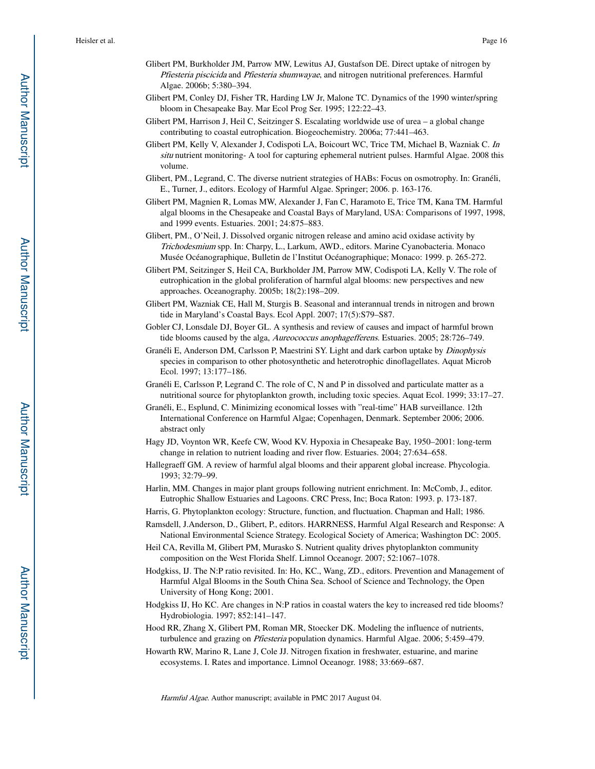- Glibert PM, Burkholder JM, Parrow MW, Lewitus AJ, Gustafson DE. Direct uptake of nitrogen by Pfiesteria piscicida and Pfiesteria shumwayae, and nitrogen nutritional preferences. Harmful Algae. 2006b; 5:380–394.
- Glibert PM, Conley DJ, Fisher TR, Harding LW Jr, Malone TC. Dynamics of the 1990 winter/spring bloom in Chesapeake Bay. Mar Ecol Prog Ser. 1995; 122:22–43.
- Glibert PM, Harrison J, Heil C, Seitzinger S. Escalating worldwide use of urea a global change contributing to coastal eutrophication. Biogeochemistry. 2006a; 77:441–463.
- Glibert PM, Kelly V, Alexander J, Codispoti LA, Boicourt WC, Trice TM, Michael B, Wazniak C. In situ nutrient monitoring- A tool for capturing ephemeral nutrient pulses. Harmful Algae. 2008 this volume.
- Glibert, PM., Legrand, C. The diverse nutrient strategies of HABs: Focus on osmotrophy. In: Granéli, E., Turner, J., editors. Ecology of Harmful Algae. Springer; 2006. p. 163-176.
- Glibert PM, Magnien R, Lomas MW, Alexander J, Fan C, Haramoto E, Trice TM, Kana TM. Harmful algal blooms in the Chesapeake and Coastal Bays of Maryland, USA: Comparisons of 1997, 1998, and 1999 events. Estuaries. 2001; 24:875–883.
- Glibert, PM., O'Neil, J. Dissolved organic nitrogen release and amino acid oxidase activity by Trichodesmium spp. In: Charpy, L., Larkum, AWD., editors. Marine Cyanobacteria. Monaco Musée Océanographique, Bulletin de l'Institut Océanographique; Monaco: 1999. p. 265-272.
- Glibert PM, Seitzinger S, Heil CA, Burkholder JM, Parrow MW, Codispoti LA, Kelly V. The role of eutrophication in the global proliferation of harmful algal blooms: new perspectives and new approaches. Oceanography. 2005b; 18(2):198–209.
- Glibert PM, Wazniak CE, Hall M, Sturgis B. Seasonal and interannual trends in nitrogen and brown tide in Maryland's Coastal Bays. Ecol Appl. 2007; 17(5):S79–S87.
- Gobler CJ, Lonsdale DJ, Boyer GL. A synthesis and review of causes and impact of harmful brown tide blooms caused by the alga, Aureococcus anophagefferens. Estuaries. 2005; 28:726–749.
- Granéli E, Anderson DM, Carlsson P, Maestrini SY. Light and dark carbon uptake by Dinophysis species in comparison to other photosynthetic and heterotrophic dinoflagellates. Aquat Microb Ecol. 1997; 13:177–186.
- Granéli E, Carlsson P, Legrand C. The role of C, N and P in dissolved and particulate matter as a nutritional source for phytoplankton growth, including toxic species. Aquat Ecol. 1999; 33:17–27.
- Granéli, E., Esplund, C. Minimizing economical losses with "real-time" HAB surveillance. 12th International Conference on Harmful Algae; Copenhagen, Denmark. September 2006; 2006. abstract only
- Hagy JD, Voynton WR, Keefe CW, Wood KV. Hypoxia in Chesapeake Bay, 1950–2001: long-term change in relation to nutrient loading and river flow. Estuaries. 2004; 27:634–658.
- Hallegraeff GM. A review of harmful algal blooms and their apparent global increase. Phycologia. 1993; 32:79–99.
- Harlin, MM. Changes in major plant groups following nutrient enrichment. In: McComb, J., editor. Eutrophic Shallow Estuaries and Lagoons. CRC Press, Inc; Boca Raton: 1993. p. 173-187.
- Harris, G. Phytoplankton ecology: Structure, function, and fluctuation. Chapman and Hall; 1986.
- Ramsdell, J.Anderson, D., Glibert, P., editors. HARRNESS, Harmful Algal Research and Response: A National Environmental Science Strategy. Ecological Society of America; Washington DC: 2005.
- Heil CA, Revilla M, Glibert PM, Murasko S. Nutrient quality drives phytoplankton community composition on the West Florida Shelf. Limnol Oceanogr. 2007; 52:1067–1078.
- Hodgkiss, IJ. The N:P ratio revisited. In: Ho, KC., Wang, ZD., editors. Prevention and Management of Harmful Algal Blooms in the South China Sea. School of Science and Technology, the Open University of Hong Kong; 2001.
- Hodgkiss IJ, Ho KC. Are changes in N:P ratios in coastal waters the key to increased red tide blooms? Hydrobiologia. 1997; 852:141–147.
- Hood RR, Zhang X, Glibert PM, Roman MR, Stoecker DK. Modeling the influence of nutrients, turbulence and grazing on Pfiesteria population dynamics. Harmful Algae. 2006; 5:459–479.
- Howarth RW, Marino R, Lane J, Cole JJ. Nitrogen fixation in freshwater, estuarine, and marine ecosystems. I. Rates and importance. Limnol Oceanogr. 1988; 33:669–687.

**Author Manuscript**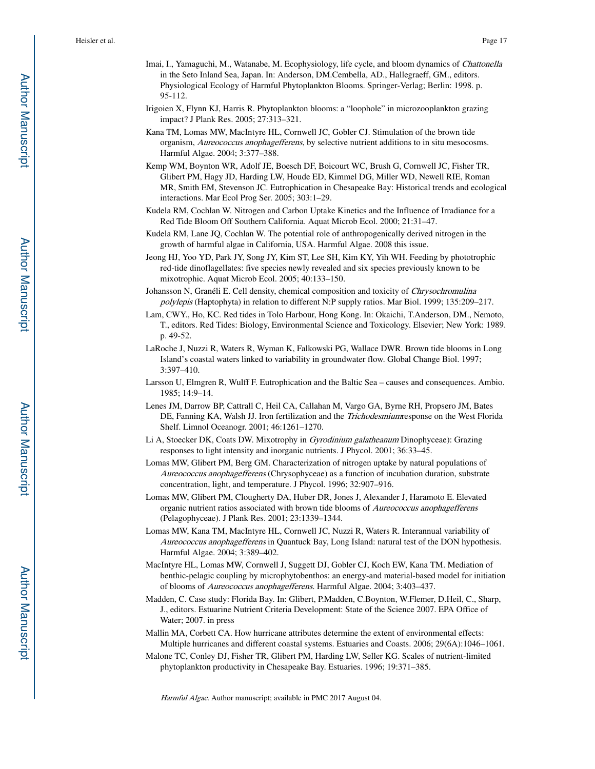- Imai, I., Yamaguchi, M., Watanabe, M. Ecophysiology, life cycle, and bloom dynamics of Chattonella in the Seto Inland Sea, Japan. In: Anderson, DM.Cembella, AD., Hallegraeff, GM., editors. Physiological Ecology of Harmful Phytoplankton Blooms. Springer-Verlag; Berlin: 1998. p. 95-112.
- Irigoien X, Flynn KJ, Harris R. Phytoplankton blooms: a "loophole" in microzooplankton grazing impact? J Plank Res. 2005; 27:313–321.
- Kana TM, Lomas MW, MacIntyre HL, Cornwell JC, Gobler CJ. Stimulation of the brown tide organism, Aureococcus anophagefferens, by selective nutrient additions to in situ mesocosms. Harmful Algae. 2004; 3:377–388.
- Kemp WM, Boynton WR, Adolf JE, Boesch DF, Boicourt WC, Brush G, Cornwell JC, Fisher TR, Glibert PM, Hagy JD, Harding LW, Houde ED, Kimmel DG, Miller WD, Newell RIE, Roman MR, Smith EM, Stevenson JC. Eutrophication in Chesapeake Bay: Historical trends and ecological interactions. Mar Ecol Prog Ser. 2005; 303:1–29.
- Kudela RM, Cochlan W. Nitrogen and Carbon Uptake Kinetics and the Influence of Irradiance for a Red Tide Bloom Off Southern California. Aquat Microb Ecol. 2000; 21:31–47.
- Kudela RM, Lane JQ, Cochlan W. The potential role of anthropogenically derived nitrogen in the growth of harmful algae in California, USA. Harmful Algae. 2008 this issue.
- Jeong HJ, Yoo YD, Park JY, Song JY, Kim ST, Lee SH, Kim KY, Yih WH. Feeding by phototrophic red-tide dinoflagellates: five species newly revealed and six species previously known to be mixotrophic. Aquat Microb Ecol. 2005; 40:133–150.
- Johansson N, Granéli E. Cell density, chemical composition and toxicity of Chrysochromulina polylepis (Haptophyta) in relation to different N:P supply ratios. Mar Biol. 1999; 135:209–217.
- Lam, CWY., Ho, KC. Red tides in Tolo Harbour, Hong Kong. In: Okaichi, T.Anderson, DM., Nemoto, T., editors. Red Tides: Biology, Environmental Science and Toxicology. Elsevier; New York: 1989. p. 49-52.
- LaRoche J, Nuzzi R, Waters R, Wyman K, Falkowski PG, Wallace DWR. Brown tide blooms in Long Island's coastal waters linked to variability in groundwater flow. Global Change Biol. 1997; 3:397–410.
- Larsson U, Elmgren R, Wulff F. Eutrophication and the Baltic Sea causes and consequences. Ambio. 1985; 14:9–14.
- Lenes JM, Darrow BP, Cattrall C, Heil CA, Callahan M, Vargo GA, Byrne RH, Propsero JM, Bates DE, Fanning KA, Walsh JJ. Iron fertilization and the Trichodesmiumresponse on the West Florida Shelf. Limnol Oceanogr. 2001; 46:1261–1270.
- Li A, Stoecker DK, Coats DW. Mixotrophy in Gyrodinium galatheanum Dinophyceae): Grazing responses to light intensity and inorganic nutrients. J Phycol. 2001; 36:33–45.
- Lomas MW, Glibert PM, Berg GM. Characterization of nitrogen uptake by natural populations of Aureococcus anophagefferens (Chrysophyceae) as a function of incubation duration, substrate concentration, light, and temperature. J Phycol. 1996; 32:907–916.
- Lomas MW, Glibert PM, Clougherty DA, Huber DR, Jones J, Alexander J, Haramoto E. Elevated organic nutrient ratios associated with brown tide blooms of Aureococcus anophagefferens (Pelagophyceae). J Plank Res. 2001; 23:1339–1344.
- Lomas MW, Kana TM, MacIntyre HL, Cornwell JC, Nuzzi R, Waters R. Interannual variability of Aureococcus anophagefferens in Quantuck Bay, Long Island: natural test of the DON hypothesis. Harmful Algae. 2004; 3:389–402.
- MacIntyre HL, Lomas MW, Cornwell J, Suggett DJ, Gobler CJ, Koch EW, Kana TM. Mediation of benthic-pelagic coupling by microphytobenthos: an energy-and material-based model for initiation of blooms of Aureococcus anophagefferens. Harmful Algae. 2004; 3:403–437.
- Madden, C. Case study: Florida Bay. In: Glibert, P.Madden, C.Boynton, W.Flemer, D.Heil, C., Sharp, J., editors. Estuarine Nutrient Criteria Development: State of the Science 2007. EPA Office of Water; 2007. in press
- Mallin MA, Corbett CA. How hurricane attributes determine the extent of environmental effects: Multiple hurricanes and different coastal systems. Estuaries and Coasts. 2006; 29(6A):1046–1061.
- Malone TC, Conley DJ, Fisher TR, Glibert PM, Harding LW, Seller KG. Scales of nutrient-limited phytoplankton productivity in Chesapeake Bay. Estuaries. 1996; 19:371–385.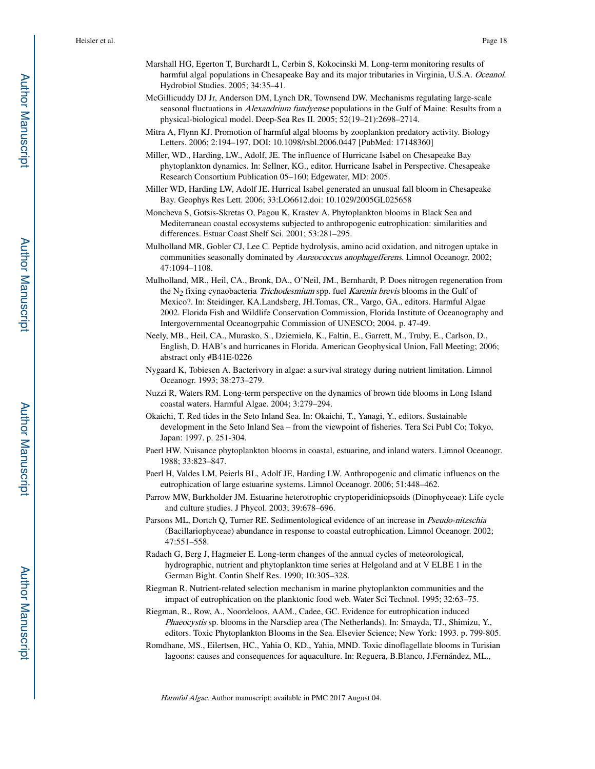- Marshall HG, Egerton T, Burchardt L, Cerbin S, Kokocinski M. Long-term monitoring results of harmful algal populations in Chesapeake Bay and its major tributaries in Virginia, U.S.A. Oceanol. Hydrobiol Studies. 2005; 34:35–41.
- McGillicuddy DJ Jr, Anderson DM, Lynch DR, Townsend DW. Mechanisms regulating large-scale seasonal fluctuations in *Alexandrium fundyense* populations in the Gulf of Maine: Results from a physical-biological model. Deep-Sea Res II. 2005; 52(19–21):2698–2714.
- Mitra A, Flynn KJ. Promotion of harmful algal blooms by zooplankton predatory activity. Biology Letters. 2006; 2:194–197. DOI: 10.1098/rsbl.2006.0447 [PubMed: 17148360]
- Miller, WD., Harding, LW., Adolf, JE. The influence of Hurricane Isabel on Chesapeake Bay phytoplankton dynamics. In: Sellner, KG., editor. Hurricane Isabel in Perspective. Chesapeake Research Consortium Publication 05–160; Edgewater, MD: 2005.
- Miller WD, Harding LW, Adolf JE. Hurrical Isabel generated an unusual fall bloom in Chesapeake Bay. Geophys Res Lett. 2006; 33:LO6612.doi: 10.1029/2005GL025658
- Moncheva S, Gotsis-Skretas O, Pagou K, Krastev A. Phytoplankton blooms in Black Sea and Mediterranean coastal ecosystems subjected to anthropogenic eutrophication: similarities and differences. Estuar Coast Shelf Sci. 2001; 53:281–295.
- Mulholland MR, Gobler CJ, Lee C. Peptide hydrolysis, amino acid oxidation, and nitrogen uptake in communities seasonally dominated by Aureococcus anophagefferens. Limnol Oceanogr. 2002; 47:1094–1108.
- Mulholland, MR., Heil, CA., Bronk, DA., O'Neil, JM., Bernhardt, P. Does nitrogen regeneration from the  $N_2$  fixing cynaobacteria *Trichodesmium* spp. fuel *Karenia brevis* blooms in the Gulf of Mexico?. In: Steidinger, KA.Landsberg, JH.Tomas, CR., Vargo, GA., editors. Harmful Algae 2002. Florida Fish and Wildlife Conservation Commission, Florida Institute of Oceanography and Intergovernmental Oceanogrpahic Commission of UNESCO; 2004. p. 47-49.
- Neely, MB., Heil, CA., Murasko, S., Dziemiela, K., Faltin, E., Garrett, M., Truby, E., Carlson, D., English, D. HAB's and hurricanes in Florida. American Geophysical Union, Fall Meeting; 2006; abstract only #B41E-0226
- Nygaard K, Tobiesen A. Bacterivory in algae: a survival strategy during nutrient limitation. Limnol Oceanogr. 1993; 38:273–279.
- Nuzzi R, Waters RM. Long-term perspective on the dynamics of brown tide blooms in Long Island coastal waters. Harmful Algae. 2004; 3:279–294.
- Okaichi, T. Red tides in the Seto Inland Sea. In: Okaichi, T., Yanagi, Y., editors. Sustainable development in the Seto Inland Sea – from the viewpoint of fisheries. Tera Sci Publ Co; Tokyo, Japan: 1997. p. 251-304.
- Paerl HW. Nuisance phytoplankton blooms in coastal, estuarine, and inland waters. Limnol Oceanogr. 1988; 33:823–847.
- Paerl H, Valdes LM, Peierls BL, Adolf JE, Harding LW. Anthropogenic and climatic influencs on the eutrophication of large estuarine systems. Limnol Oceanogr. 2006; 51:448–462.
- Parrow MW, Burkholder JM. Estuarine heterotrophic cryptoperidiniopsoids (Dinophyceae): Life cycle and culture studies. J Phycol. 2003; 39:678–696.
- Parsons ML, Dortch Q, Turner RE. Sedimentological evidence of an increase in *Pseudo-nitzschia* (Bacillariophyceae) abundance in response to coastal eutrophication. Limnol Oceanogr. 2002; 47:551–558.
- Radach G, Berg J, Hagmeier E. Long-term changes of the annual cycles of meteorological, hydrographic, nutrient and phytoplankton time series at Helgoland and at V ELBE 1 in the German Bight. Contin Shelf Res. 1990; 10:305–328.
- Riegman R. Nutrient-related selection mechanism in marine phytoplankton communities and the impact of eutrophication on the planktonic food web. Water Sci Technol. 1995; 32:63–75.
- Riegman, R., Row, A., Noordeloos, AAM., Cadee, GC. Evidence for eutrophication induced Phaeocystis sp. blooms in the Narsdiep area (The Netherlands). In: Smayda, TJ., Shimizu, Y., editors. Toxic Phytoplankton Blooms in the Sea. Elsevier Science; New York: 1993. p. 799-805.
- Romdhane, MS., Eilertsen, HC., Yahia O, KD., Yahia, MND. Toxic dinoflagellate blooms in Turisian lagoons: causes and consequences for aquaculture. In: Reguera, B.Blanco, J.Fernández, ML.,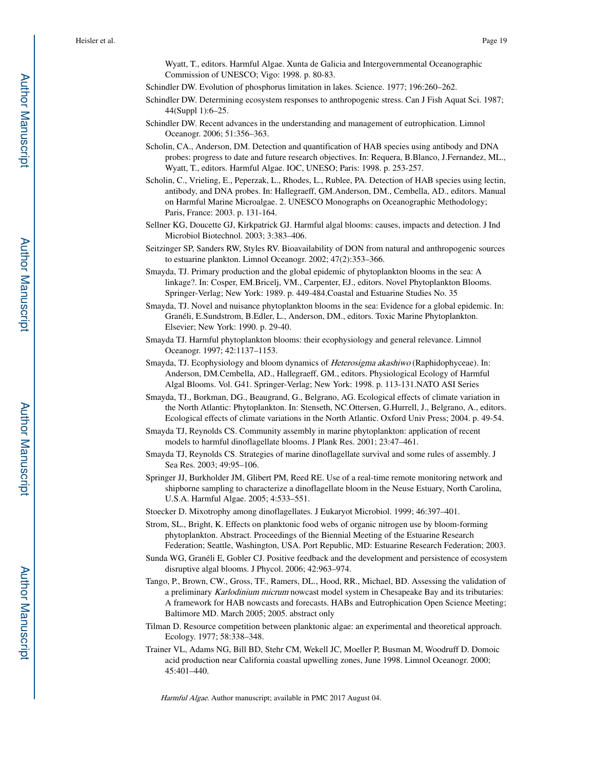Wyatt, T., editors. Harmful Algae. Xunta de Galicia and Intergovernmental Oceanographic Commission of UNESCO; Vigo: 1998. p. 80-83.

Schindler DW. Evolution of phosphorus limitation in lakes. Science. 1977; 196:260–262.

- Schindler DW. Determining ecosystem responses to anthropogenic stress. Can J Fish Aquat Sci. 1987; 44(Suppl 1):6–25.
- Schindler DW. Recent advances in the understanding and management of eutrophication. Limnol Oceanogr. 2006; 51:356–363.
- Scholin, CA., Anderson, DM. Detection and quantification of HAB species using antibody and DNA probes: progress to date and future research objectives. In: Requera, B.Blanco, J.Fernandez, ML., Wyatt, T., editors. Harmful Algae. IOC, UNESO; Paris: 1998. p. 253-257.
- Scholin, C., Vrieling, E., Peperzak, L., Rhodes, L., Rublee, PA. Detection of HAB species using lectin, antibody, and DNA probes. In: Hallegraeff, GM.Anderson, DM., Cembella, AD., editors. Manual on Harmful Marine Microalgae. 2. UNESCO Monographs on Oceanographic Methodology; Paris, France: 2003. p. 131-164.
- Sellner KG, Doucette GJ, Kirkpatrick GJ. Harmful algal blooms: causes, impacts and detection. J Ind Microbiol Biotechnol. 2003; 3:383–406.
- Seitzinger SP, Sanders RW, Styles RV. Bioavailability of DON from natural and anthropogenic sources to estuarine plankton. Limnol Oceanogr. 2002; 47(2):353–366.
- Smayda, TJ. Primary production and the global epidemic of phytoplankton blooms in the sea: A linkage?. In: Cosper, EM.Bricelj, VM., Carpenter, EJ., editors. Novel Phytoplankton Blooms. Springer-Verlag; New York: 1989. p. 449-484.Coastal and Estuarine Studies No. 35
- Smayda, TJ. Novel and nuisance phytoplankton blooms in the sea: Evidence for a global epidemic. In: Granéli, E.Sundstrom, B.Edler, L., Anderson, DM., editors. Toxic Marine Phytoplankton. Elsevier; New York: 1990. p. 29-40.
- Smayda TJ. Harmful phytoplankton blooms: their ecophysiology and general relevance. Limnol Oceanogr. 1997; 42:1137–1153.
- Smayda, TJ. Ecophysiology and bloom dynamics of *Heterosigma akashiwo* (Raphidophyceae). In: Anderson, DM.Cembella, AD., Hallegraeff, GM., editors. Physiological Ecology of Harmful Algal Blooms. Vol. G41. Springer-Verlag; New York: 1998. p. 113-131.NATO ASI Series
- Smayda, TJ., Borkman, DG., Beaugrand, G., Belgrano, AG. Ecological effects of climate variation in the North Atlantic: Phytoplankton. In: Stenseth, NC.Ottersen, G.Hurrell, J., Belgrano, A., editors. Ecological effects of climate variations in the North Atlantic. Oxford Univ Press; 2004. p. 49-54.
- Smayda TJ, Reynolds CS. Community assembly in marine phytoplankton: application of recent models to harmful dinoflagellate blooms. J Plank Res. 2001; 23:47–461.
- Smayda TJ, Reynolds CS. Strategies of marine dinoflagellate survival and some rules of assembly. J Sea Res. 2003; 49:95–106.
- Springer JJ, Burkholder JM, Glibert PM, Reed RE. Use of a real-time remote monitoring network and shipborne sampling to characterize a dinoflagellate bloom in the Neuse Estuary, North Carolina, U.S.A. Harmful Algae. 2005; 4:533–551.
- Stoecker D. Mixotrophy among dinoflagellates. J Eukaryot Microbiol. 1999; 46:397–401.
- Strom, SL., Bright, K. Effects on planktonic food webs of organic nitrogen use by bloom-forming phytoplankton. Abstract. Proceedings of the Biennial Meeting of the Estuarine Research Federation; Seattle, Washington, USA. Port Republic, MD: Estuarine Research Federation; 2003.
- Sunda WG, Granéli E, Gobler CJ. Positive feedback and the development and persistence of ecosystem disruptive algal blooms. J Phycol. 2006; 42:963–974.
- Tango, P., Brown, CW., Gross, TF., Ramers, DL., Hood, RR., Michael, BD. Assessing the validation of a preliminary Karlodinium micrum nowcast model system in Chesapeake Bay and its tributaries: A framework for HAB nowcasts and forecasts. HABs and Eutrophication Open Science Meeting; Baltimore MD. March 2005; 2005. abstract only
- Tilman D. Resource competition between planktonic algae: an experimental and theoretical approach. Ecology. 1977; 58:338–348.
- Trainer VL, Adams NG, Bill BD, Stehr CM, Wekell JC, Moeller P, Busman M, Woodruff D. Domoic acid production near California coastal upwelling zones, June 1998. Limnol Oceanogr. 2000; 45:401–440.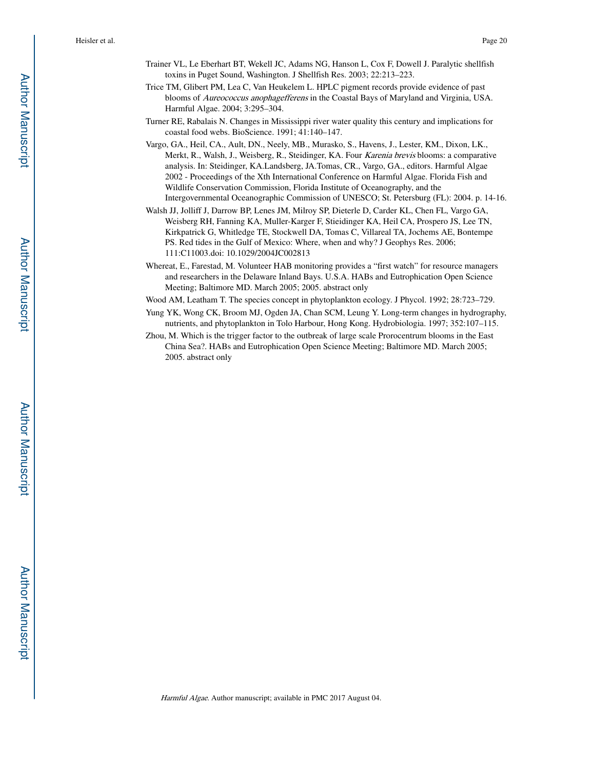- Trainer VL, Le Eberhart BT, Wekell JC, Adams NG, Hanson L, Cox F, Dowell J. Paralytic shellfish toxins in Puget Sound, Washington. J Shellfish Res. 2003; 22:213–223.
- Trice TM, Glibert PM, Lea C, Van Heukelem L. HPLC pigment records provide evidence of past blooms of Aureococcus anophagefferens in the Coastal Bays of Maryland and Virginia, USA. Harmful Algae. 2004; 3:295–304.
- Turner RE, Rabalais N. Changes in Mississippi river water quality this century and implications for coastal food webs. BioScience. 1991; 41:140–147.
- Vargo, GA., Heil, CA., Ault, DN., Neely, MB., Murasko, S., Havens, J., Lester, KM., Dixon, LK., Merkt, R., Walsh, J., Weisberg, R., Steidinger, KA. Four Karenia brevis blooms: a comparative analysis. In: Steidinger, KA.Landsberg, JA.Tomas, CR., Vargo, GA., editors. Harmful Algae 2002 - Proceedings of the Xth International Conference on Harmful Algae. Florida Fish and Wildlife Conservation Commission, Florida Institute of Oceanography, and the Intergovernmental Oceanographic Commission of UNESCO; St. Petersburg (FL): 2004. p. 14-16.
- Walsh JJ, Jolliff J, Darrow BP, Lenes JM, Milroy SP, Dieterle D, Carder KL, Chen FL, Vargo GA, Weisberg RH, Fanning KA, Muller-Karger F, Stieidinger KA, Heil CA, Prospero JS, Lee TN, Kirkpatrick G, Whitledge TE, Stockwell DA, Tomas C, Villareal TA, Jochems AE, Bontempe PS. Red tides in the Gulf of Mexico: Where, when and why? J Geophys Res. 2006; 111:C11003.doi: 10.1029/2004JC002813
- Whereat, E., Farestad, M. Volunteer HAB monitoring provides a "first watch" for resource managers and researchers in the Delaware Inland Bays. U.S.A. HABs and Eutrophication Open Science Meeting; Baltimore MD. March 2005; 2005. abstract only
- Wood AM, Leatham T. The species concept in phytoplankton ecology. J Phycol. 1992; 28:723–729.
- Yung YK, Wong CK, Broom MJ, Ogden JA, Chan SCM, Leung Y. Long-term changes in hydrography, nutrients, and phytoplankton in Tolo Harbour, Hong Kong. Hydrobiologia. 1997; 352:107–115.
- Zhou, M. Which is the trigger factor to the outbreak of large scale Prorocentrum blooms in the East China Sea?. HABs and Eutrophication Open Science Meeting; Baltimore MD. March 2005; 2005. abstract only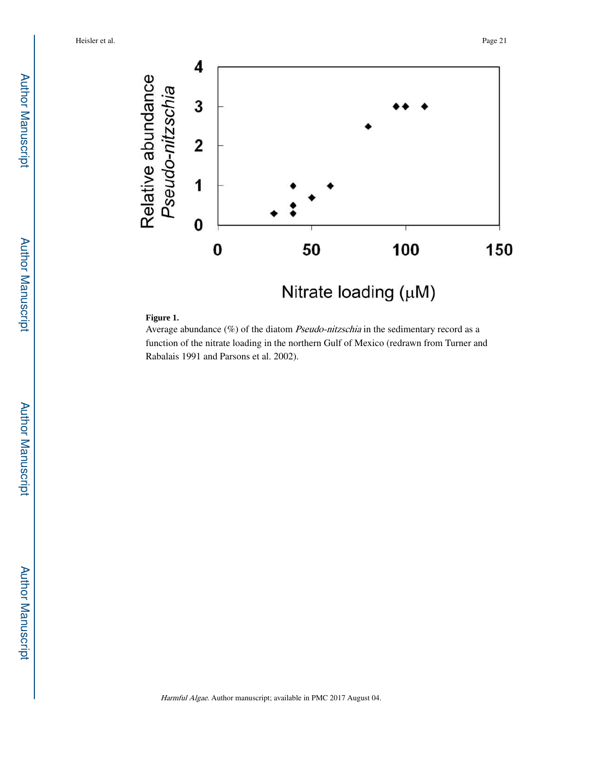

#### **Figure 1.**

Average abundance (%) of the diatom Pseudo-nitzschia in the sedimentary record as a function of the nitrate loading in the northern Gulf of Mexico (redrawn from Turner and Rabalais 1991 and Parsons et al. 2002).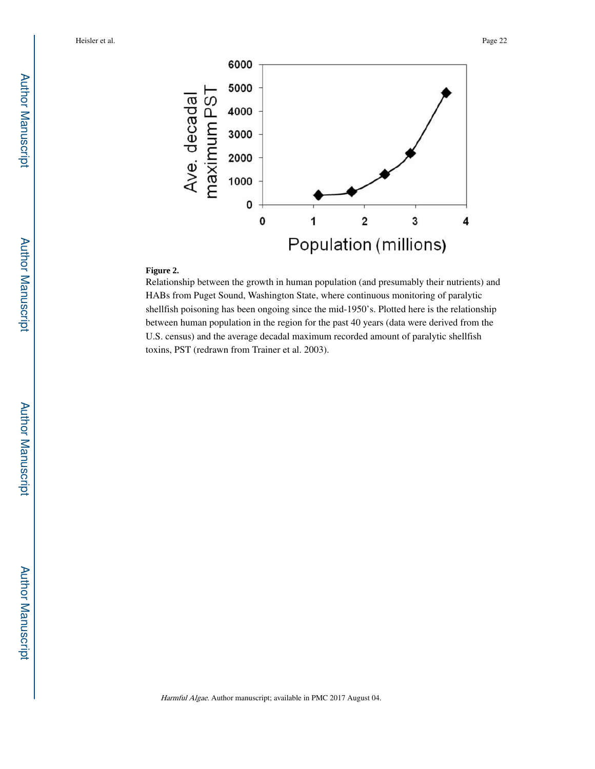

## **Figure 2.**

Relationship between the growth in human population (and presumably their nutrients) and HABs from Puget Sound, Washington State, where continuous monitoring of paralytic shellfish poisoning has been ongoing since the mid-1950's. Plotted here is the relationship between human population in the region for the past 40 years (data were derived from the U.S. census) and the average decadal maximum recorded amount of paralytic shellfish toxins, PST (redrawn from Trainer et al. 2003).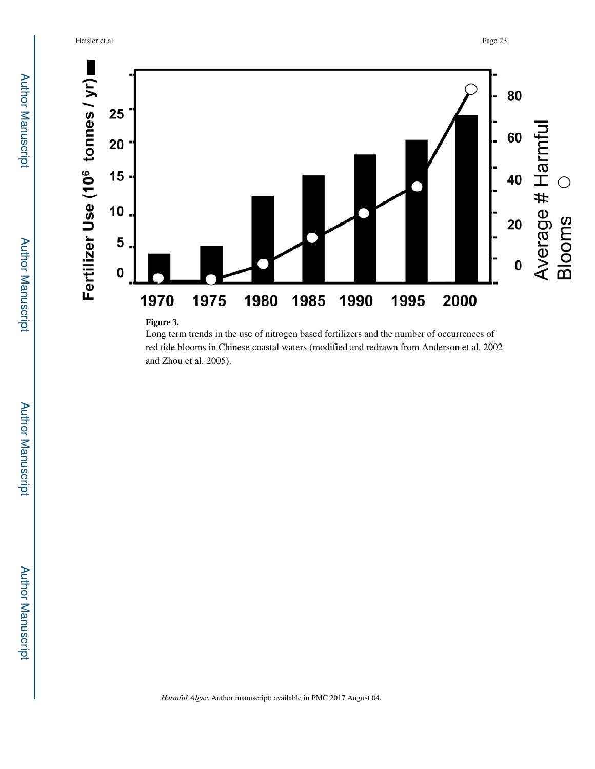Heisler et al. Page 23



Long term trends in the use of nitrogen based fertilizers and the number of occurrences of red tide blooms in Chinese coastal waters (modified and redrawn from Anderson et al. 2002 and Zhou et al. 2005).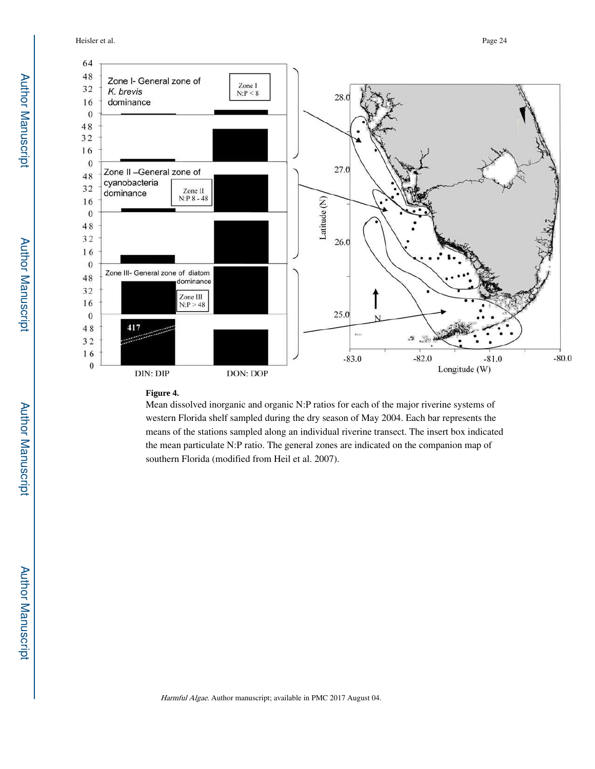Heisler et al. Page 24



#### **Figure 4.**

Mean dissolved inorganic and organic N:P ratios for each of the major riverine systems of western Florida shelf sampled during the dry season of May 2004. Each bar represents the means of the stations sampled along an individual riverine transect. The insert box indicated the mean particulate N:P ratio. The general zones are indicated on the companion map of southern Florida (modified from Heil et al. 2007).